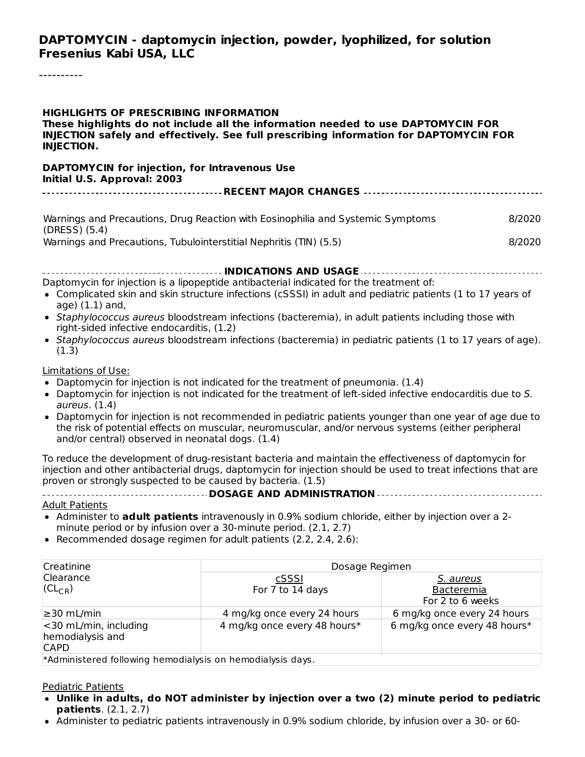#### **DAPTOMYCIN - daptomycin injection, powder, lyophilized, for solution Fresenius Kabi USA, LLC**

----------

| <b>HIGHLIGHTS OF PRESCRIBING INFORMATION</b><br><b>INJECTION.</b>                          | These highlights do not include all the information needed to use DAPTOMYCIN FOR<br>INJECTION safely and effectively. See full prescribing information for DAPTOMYCIN FOR                                                                                                                                                                                                                                                 |                                             |
|--------------------------------------------------------------------------------------------|---------------------------------------------------------------------------------------------------------------------------------------------------------------------------------------------------------------------------------------------------------------------------------------------------------------------------------------------------------------------------------------------------------------------------|---------------------------------------------|
| <b>DAPTOMYCIN for injection, for Intravenous Use</b><br>Initial U.S. Approval: 2003        |                                                                                                                                                                                                                                                                                                                                                                                                                           |                                             |
|                                                                                            |                                                                                                                                                                                                                                                                                                                                                                                                                           |                                             |
| (DRESS) (5.4)                                                                              | Warnings and Precautions, Drug Reaction with Eosinophilia and Systemic Symptoms                                                                                                                                                                                                                                                                                                                                           | 8/2020                                      |
| Warnings and Precautions, Tubulointerstitial Nephritis (TIN) (5.5)                         |                                                                                                                                                                                                                                                                                                                                                                                                                           | 8/2020                                      |
| age) (1.1) and,<br>right-sided infective endocarditis, (1.2)<br>(1.3)                      | Daptomycin for injection is a lipopeptide antibacterial indicated for the treatment of:<br>• Complicated skin and skin structure infections (cSSSI) in adult and pediatric patients (1 to 17 years of<br>• Staphylococcus aureus bloodstream infections (bacteremia), in adult patients including those with<br>• Staphylococcus aureus bloodstream infections (bacteremia) in pediatric patients (1 to 17 years of age). |                                             |
| Limitations of Use:<br>aureus. $(1.4)$<br>and/or central) observed in neonatal dogs. (1.4) | • Daptomycin for injection is not indicated for the treatment of pneumonia. (1.4)<br>. Daptomycin for injection is not indicated for the treatment of left-sided infective endocarditis due to S.<br>• Daptomycin for injection is not recommended in pediatric patients younger than one year of age due to<br>the risk of potential effects on muscular, neuromuscular, and/or nervous systems (either peripheral       |                                             |
| proven or strongly suspected to be caused by bacteria. (1.5)                               | To reduce the development of drug-resistant bacteria and maintain the effectiveness of daptomycin for<br>injection and other antibacterial drugs, daptomycin for injection should be used to treat infections that are                                                                                                                                                                                                    |                                             |
| <b>Adult Patients</b>                                                                      | • Administer to adult patients intravenously in 0.9% sodium chloride, either by injection over a 2-<br>minute period or by infusion over a 30-minute period. (2.1, 2.7)<br>Recommended dosage regimen for adult patients (2.2, 2.4, 2.6):                                                                                                                                                                                 |                                             |
| Creatinine                                                                                 | Dosage Regimen                                                                                                                                                                                                                                                                                                                                                                                                            |                                             |
| Clearance<br>$CL_{CR}$                                                                     | cSSSI<br>For 7 to 14 days                                                                                                                                                                                                                                                                                                                                                                                                 | S. aureus<br>Bacteremia<br>For 2 to 6 weeks |
| ≥30 mL/min                                                                                 | 4 mg/kg once every 24 hours                                                                                                                                                                                                                                                                                                                                                                                               | 6 mg/kg once every 24 hours                 |

\*Administered following hemodialysis on hemodialysis days. CAPD

#### Pediatric Patients

<30 mL/min, including hemodialysis and

**Unlike in adults, do NOT administer by injection over a two (2) minute period to pediatric patients**. (2.1, 2.7)

4 mg/kg once every 48 hours\* | 6 mg/kg once every 48 hours\*

Administer to pediatric patients intravenously in 0.9% sodium chloride, by infusion over a 30- or 60-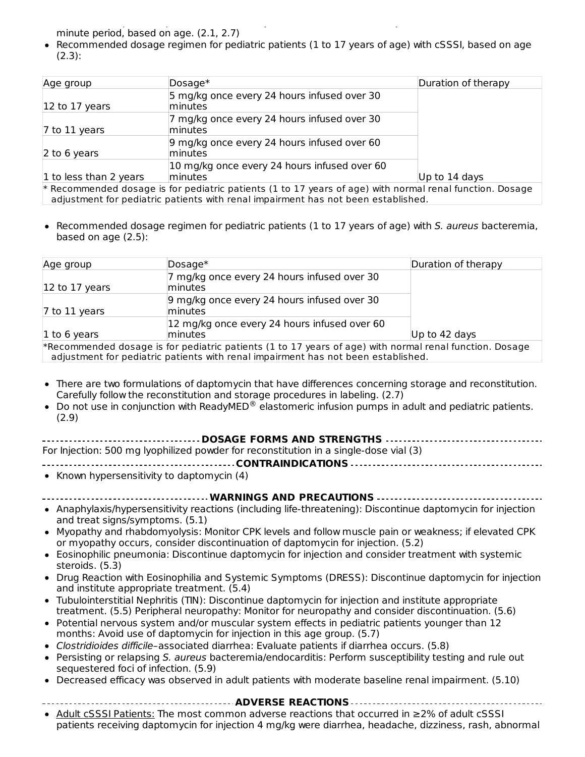Administer to pediatric patients intravenously in 0.9% sodium chloride, by infusion over a 30- or 60 minute period, based on age. (2.1, 2.7)

Recommended dosage regimen for pediatric patients (1 to 17 years of age) with cSSSI, based on age (2.3):

| Age group                           | $Dosage*$                                                                                                                                                                                       | Duration of therapy |
|-------------------------------------|-------------------------------------------------------------------------------------------------------------------------------------------------------------------------------------------------|---------------------|
| $ 12 \text{ to } 17 \text{ years} $ | 5 mg/kg once every 24 hours infused over 30<br><b>Iminutes</b>                                                                                                                                  |                     |
| $\sqrt{7}$ to 11 years              | 7 mg/kg once every 24 hours infused over 30<br>lminutes                                                                                                                                         |                     |
| $\vert$ 2 to 6 years                | 9 mg/kg once every 24 hours infused over 60<br>lminutes                                                                                                                                         |                     |
| 1 to less than 2 years              | 10 mg/kg once every 24 hours infused over 60<br>minutes                                                                                                                                         | Up to $14$ days     |
|                                     | $*$ Recommended dosage is for pediatric patients (1 to 17 years of age) with normal renal function. Dosage<br>adjustment for pediatric patients with renal impairment has not been established. |                     |

• Recommended dosage regimen for pediatric patients (1 to 17 years of age) with S. aureus bacteremia, based on age (2.5):

| Age group      | $Dosage*$                                                                                                                                                                                    | Duration of therapy |
|----------------|----------------------------------------------------------------------------------------------------------------------------------------------------------------------------------------------|---------------------|
| 12 to 17 years | 7 mg/kg once every 24 hours infused over 30<br>lminutes                                                                                                                                      |                     |
| 7 to 11 years  | 9 mg/kg once every 24 hours infused over 30<br>lminutes                                                                                                                                      |                     |
|                | 12 mg/kg once every 24 hours infused over 60                                                                                                                                                 |                     |
| 1 to 6 years   | <b>Iminutes</b>                                                                                                                                                                              | Up to 42 days       |
|                | *Recommended dosage is for pediatric patients (1 to 17 years of age) with normal renal function. Dosage<br>adjustment for pediatric patients with renal impairment has not been established. |                     |

- There are two formulations of daptomycin that have differences concerning storage and reconstitution. Carefully follow the reconstitution and storage procedures in labeling. (2.7)
- Do not use in conjunction with ReadyMED $^{\circledR}$  elastomeric infusion pumps in adult and pediatric patients. (2.9)

| <b>DOSAGE FORMS AND STRENGTHS</b>                                                                                                                |  |
|--------------------------------------------------------------------------------------------------------------------------------------------------|--|
| For Injection: 500 mg lyophilized powder for reconstitution in a single-dose vial (3)                                                            |  |
|                                                                                                                                                  |  |
| • Known hypersensitivity to daptomycin $(4)$                                                                                                     |  |
| <b>WARNINGS AND PRECAUTIONS </b>                                                                                                                 |  |
| • Anaphylaxis/hypersensitivity reactions (including life-threatening): Discontinue daptomycin for injection                                      |  |
| and treat signs/symptoms. (5.1)                                                                                                                  |  |
| • Myopathy and rhabdomyolysis: Monitor CPK levels and follow muscle pain or weakness; if elevated CPK                                            |  |
| or myopathy occurs, consider discontinuation of daptomycin for injection. (5.2)                                                                  |  |
| • Eosinophilic pneumonia: Discontinue daptomycin for injection and consider treatment with systemic                                              |  |
| steroids. (5.3)                                                                                                                                  |  |
| • Drug Reaction with Eosinophilia and Systemic Symptoms (DRESS): Discontinue daptomycin for injection                                            |  |
| and institute appropriate treatment. (5.4)                                                                                                       |  |
| • Tubulointerstitial Nephritis (TIN): Discontinue daptomycin for injection and institute appropriate                                             |  |
| treatment. (5.5) Peripheral neuropathy: Monitor for neuropathy and consider discontinuation. (5.6)                                               |  |
| • Potential nervous system and/or muscular system effects in pediatric patients younger than 12                                                  |  |
| months: Avoid use of daptomycin for injection in this age group. (5.7)                                                                           |  |
| • Clostridioides difficile-associated diarrhea: Evaluate patients if diarrhea occurs. (5.8)                                                      |  |
| • Persisting or relapsing S. aureus bacteremia/endocarditis: Perform susceptibility testing and rule out<br>sequestered foci of infection. (5.9) |  |
|                                                                                                                                                  |  |

- Decreased efficacy was observed in adult patients with moderate baseline renal impairment. (5.10)
- **ADVERSE REACTIONS**
- Adult cSSSI Patients: The most common adverse reactions that occurred in ≥2% of adult cSSSI patients receiving daptomycin for injection 4 mg/kg were diarrhea, headache, dizziness, rash, abnormal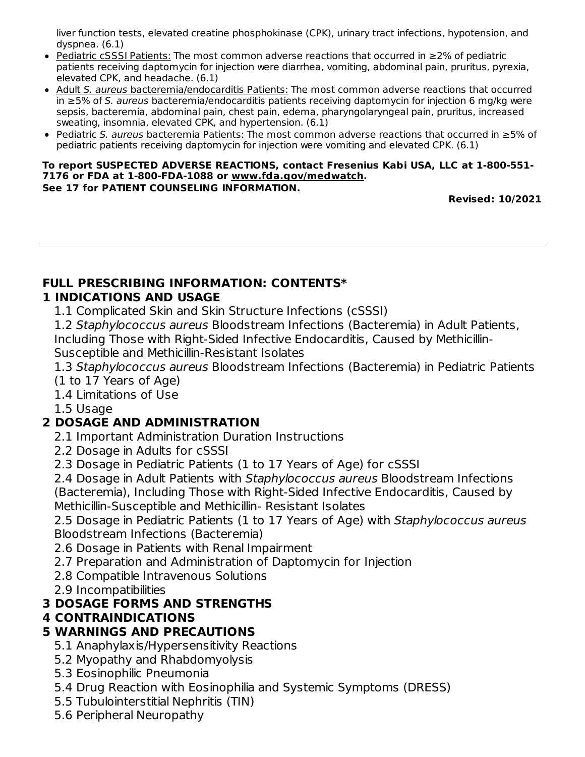patients receiving daptomycin for injection 4 mg/kg were diarrhea, headache, dizziness, rash, abnormal liver function tests, elevated creatine phosphokinase (CPK), urinary tract infections, hypotension, and dyspnea. (6.1)

- Pediatric cSSSI Patients: The most common adverse reactions that occurred in ≥2% of pediatric patients receiving daptomycin for injection were diarrhea, vomiting, abdominal pain, pruritus, pyrexia, elevated CPK, and headache. (6.1)
- Adult S. aureus bacteremia/endocarditis Patients: The most common adverse reactions that occurred in ≥5% of S. aureus bacteremia/endocarditis patients receiving daptomycin for injection 6 mg/kg were sepsis, bacteremia, abdominal pain, chest pain, edema, pharyngolaryngeal pain, pruritus, increased sweating, insomnia, elevated CPK, and hypertension. (6.1)
- Pediatric S. aureus bacteremia Patients: The most common adverse reactions that occurred in ≥5% of pediatric patients receiving daptomycin for injection were vomiting and elevated CPK. (6.1)

#### **To report SUSPECTED ADVERSE REACTIONS, contact Fresenius Kabi USA, LLC at 1-800-551- 7176 or FDA at 1-800-FDA-1088 or www.fda.gov/medwatch. See 17 for PATIENT COUNSELING INFORMATION.**

**Revised: 10/2021**

# **FULL PRESCRIBING INFORMATION: CONTENTS\***

#### **1 INDICATIONS AND USAGE**

1.1 Complicated Skin and Skin Structure Infections (cSSSI)

1.2 Staphylococcus aureus Bloodstream Infections (Bacteremia) in Adult Patients, Including Those with Right-Sided Infective Endocarditis, Caused by Methicillin-Susceptible and Methicillin-Resistant Isolates

1.3 Staphylococcus aureus Bloodstream Infections (Bacteremia) in Pediatric Patients (1 to 17 Years of Age)

1.4 Limitations of Use

1.5 Usage

#### **2 DOSAGE AND ADMINISTRATION**

2.1 Important Administration Duration Instructions

2.2 Dosage in Adults for cSSSI

2.3 Dosage in Pediatric Patients (1 to 17 Years of Age) for cSSSI

2.4 Dosage in Adult Patients with Staphylococcus aureus Bloodstream Infections (Bacteremia), Including Those with Right-Sided Infective Endocarditis, Caused by Methicillin-Susceptible and Methicillin- Resistant Isolates

2.5 Dosage in Pediatric Patients (1 to 17 Years of Age) with Staphylococcus aureus Bloodstream Infections (Bacteremia)

2.6 Dosage in Patients with Renal Impairment

- 2.7 Preparation and Administration of Daptomycin for Injection
- 2.8 Compatible Intravenous Solutions
- 2.9 Incompatibilities

### **3 DOSAGE FORMS AND STRENGTHS**

#### **4 CONTRAINDICATIONS**

#### **5 WARNINGS AND PRECAUTIONS**

- 5.1 Anaphylaxis/Hypersensitivity Reactions
- 5.2 Myopathy and Rhabdomyolysis
- 5.3 Eosinophilic Pneumonia
- 5.4 Drug Reaction with Eosinophilia and Systemic Symptoms (DRESS)
- 5.5 Tubulointerstitial Nephritis (TIN)
- 5.6 Peripheral Neuropathy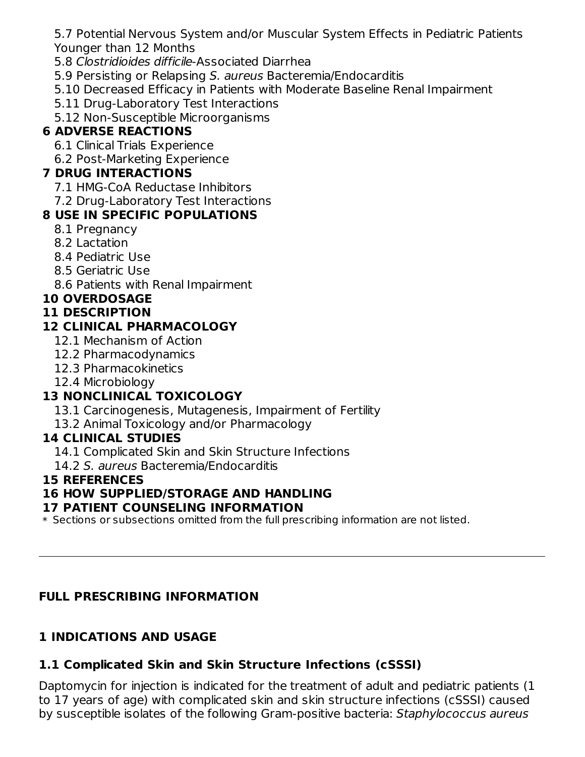5.7 Potential Nervous System and/or Muscular System Effects in Pediatric Patients Younger than 12 Months

5.8 Clostridioides difficile-Associated Diarrhea

5.9 Persisting or Relapsing S. aureus Bacteremia/Endocarditis

- 5.10 Decreased Efficacy in Patients with Moderate Baseline Renal Impairment
- 5.11 Drug-Laboratory Test Interactions
- 5.12 Non-Susceptible Microorganisms

### **6 ADVERSE REACTIONS**

6.1 Clinical Trials Experience

6.2 Post-Marketing Experience

### **7 DRUG INTERACTIONS**

- 7.1 HMG-CoA Reductase Inhibitors
- 7.2 Drug-Laboratory Test Interactions

### **8 USE IN SPECIFIC POPULATIONS**

- 8.1 Pregnancy
- 8.2 Lactation
- 8.4 Pediatric Use
- 8.5 Geriatric Use
- 8.6 Patients with Renal Impairment

### **10 OVERDOSAGE**

### **11 DESCRIPTION**

### **12 CLINICAL PHARMACOLOGY**

- 12.1 Mechanism of Action
- 12.2 Pharmacodynamics
- 12.3 Pharmacokinetics
- 12.4 Microbiology

## **13 NONCLINICAL TOXICOLOGY**

- 13.1 Carcinogenesis, Mutagenesis, Impairment of Fertility
- 13.2 Animal Toxicology and/or Pharmacology

### **14 CLINICAL STUDIES**

- 14.1 Complicated Skin and Skin Structure Infections
- 14.2 S. aureus Bacteremia/Endocarditis

### **15 REFERENCES**

### **16 HOW SUPPLIED/STORAGE AND HANDLING**

### **17 PATIENT COUNSELING INFORMATION**

 $\ast$  Sections or subsections omitted from the full prescribing information are not listed.

### **FULL PRESCRIBING INFORMATION**

### **1 INDICATIONS AND USAGE**

## **1.1 Complicated Skin and Skin Structure Infections (cSSSI)**

Daptomycin for injection is indicated for the treatment of adult and pediatric patients (1 to 17 years of age) with complicated skin and skin structure infections (cSSSI) caused by susceptible isolates of the following Gram-positive bacteria: Staphylococcus aureus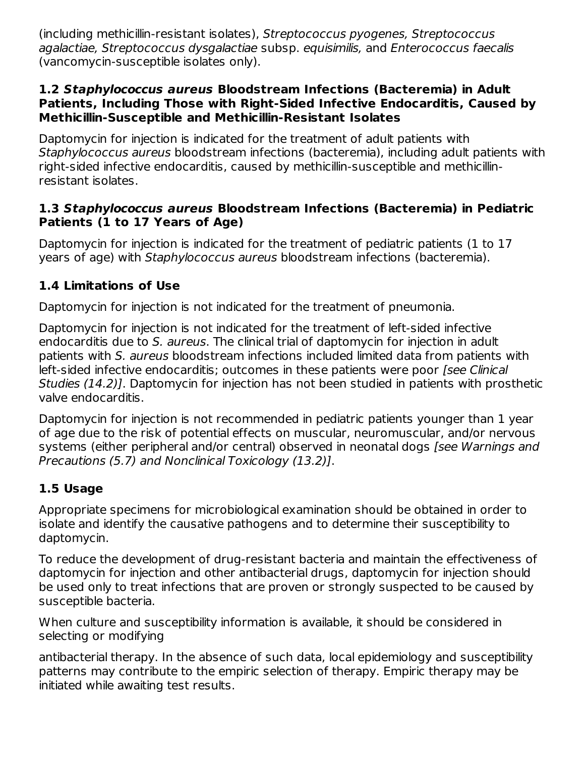(including methicillin-resistant isolates), Streptococcus pyogenes, Streptococcus agalactiae, Streptococcus dysgalactiae subsp. equisimilis, and Enterococcus faecalis (vancomycin-susceptible isolates only).

#### **1.2 Staphylococcus aureus Bloodstream Infections (Bacteremia) in Adult Patients, Including Those with Right-Sided Infective Endocarditis, Caused by Methicillin-Susceptible and Methicillin-Resistant Isolates**

Daptomycin for injection is indicated for the treatment of adult patients with Staphylococcus aureus bloodstream infections (bacteremia), including adult patients with right-sided infective endocarditis, caused by methicillin-susceptible and methicillinresistant isolates.

#### **1.3 Staphylococcus aureus Bloodstream Infections (Bacteremia) in Pediatric Patients (1 to 17 Years of Age)**

Daptomycin for injection is indicated for the treatment of pediatric patients (1 to 17 years of age) with Staphylococcus aureus bloodstream infections (bacteremia).

### **1.4 Limitations of Use**

Daptomycin for injection is not indicated for the treatment of pneumonia.

Daptomycin for injection is not indicated for the treatment of left-sided infective endocarditis due to S. aureus. The clinical trial of daptomycin for injection in adult patients with S. aureus bloodstream infections included limited data from patients with left-sided infective endocarditis; outcomes in these patients were poor *[see Clinical*] Studies (14.2)]. Daptomycin for injection has not been studied in patients with prosthetic valve endocarditis.

Daptomycin for injection is not recommended in pediatric patients younger than 1 year of age due to the risk of potential effects on muscular, neuromuscular, and/or nervous systems (either peripheral and/or central) observed in neonatal dogs [see Warnings and Precautions (5.7) and Nonclinical Toxicology (13.2)].

### **1.5 Usage**

Appropriate specimens for microbiological examination should be obtained in order to isolate and identify the causative pathogens and to determine their susceptibility to daptomycin.

To reduce the development of drug-resistant bacteria and maintain the effectiveness of daptomycin for injection and other antibacterial drugs, daptomycin for injection should be used only to treat infections that are proven or strongly suspected to be caused by susceptible bacteria.

When culture and susceptibility information is available, it should be considered in selecting or modifying

antibacterial therapy. In the absence of such data, local epidemiology and susceptibility patterns may contribute to the empiric selection of therapy. Empiric therapy may be initiated while awaiting test results.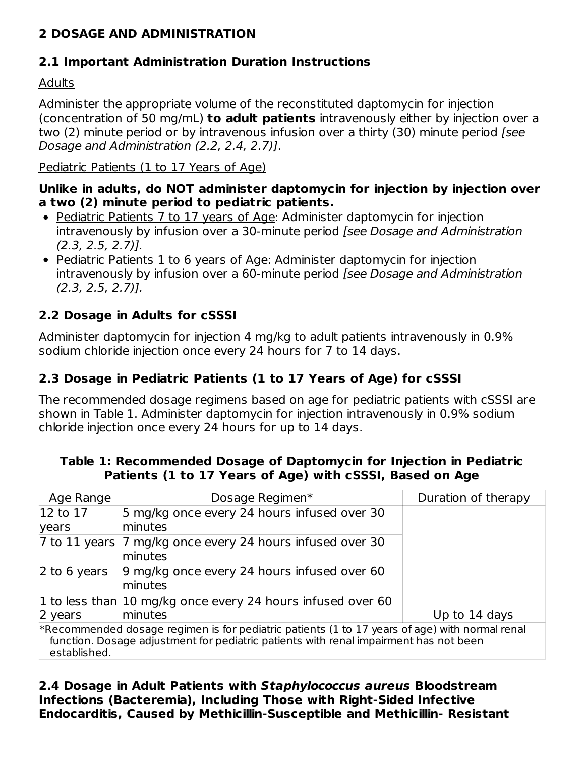### **2 DOSAGE AND ADMINISTRATION**

### **2.1 Important Administration Duration Instructions**

### Adults

Administer the appropriate volume of the reconstituted daptomycin for injection (concentration of 50 mg/mL) **to adult patients** intravenously either by injection over a two (2) minute period or by intravenous infusion over a thirty (30) minute period [see Dosage and Administration (2.2, 2.4, 2.7)].

#### Pediatric Patients (1 to 17 Years of Age)

#### **Unlike in adults, do NOT administer daptomycin for injection by injection over a two (2) minute period to pediatric patients.**

- Pediatric Patients 7 to 17 years of Age: Administer daptomycin for injection intravenously by infusion over a 30-minute period [see Dosage and Administration  $(2.3, 2.5, 2.7)$ ].
- Pediatric Patients 1 to 6 years of Age: Administer daptomycin for injection intravenously by infusion over a 60-minute period [see Dosage and Administration  $(2.3, 2.5, 2.7)$ ].

### **2.2 Dosage in Adults for cSSSI**

Administer daptomycin for injection 4 mg/kg to adult patients intravenously in 0.9% sodium chloride injection once every 24 hours for 7 to 14 days.

### **2.3 Dosage in Pediatric Patients (1 to 17 Years of Age) for cSSSI**

The recommended dosage regimens based on age for pediatric patients with cSSSI are shown in Table 1. Administer daptomycin for injection intravenously in 0.9% sodium chloride injection once every 24 hours for up to 14 days.

| Age Range                                                                                                                                                                                                  | Dosage Regimen*                                             | Duration of therapy |
|------------------------------------------------------------------------------------------------------------------------------------------------------------------------------------------------------------|-------------------------------------------------------------|---------------------|
| $ 12 \text{ to } 17$                                                                                                                                                                                       | 5 mg/kg once every 24 hours infused over 30                 |                     |
| years                                                                                                                                                                                                      | minutes                                                     |                     |
| $ 7$ to 11 years                                                                                                                                                                                           | 7 mg/kg once every 24 hours infused over 30<br>minutes      |                     |
| 2 to 6 years                                                                                                                                                                                               | 9 mg/kg once every 24 hours infused over 60<br>minutes      |                     |
|                                                                                                                                                                                                            | 1 to less than 10 mg/kg once every 24 hours infused over 60 |                     |
| 2 years                                                                                                                                                                                                    | minutes                                                     | Up to 14 days       |
| $*$ Recommended dosage regimen is for pediatric patients (1 to 17 years of age) with normal renal<br>function. Dosage adjustment for pediatric patients with renal impairment has not been<br>established. |                                                             |                     |

#### **Table 1: Recommended Dosage of Daptomycin for Injection in Pediatric Patients (1 to 17 Years of Age) with cSSSI, Based on Age**

#### **2.4 Dosage in Adult Patients with Staphylococcus aureus Bloodstream Infections (Bacteremia), Including Those with Right-Sided Infective Endocarditis, Caused by Methicillin-Susceptible and Methicillin- Resistant**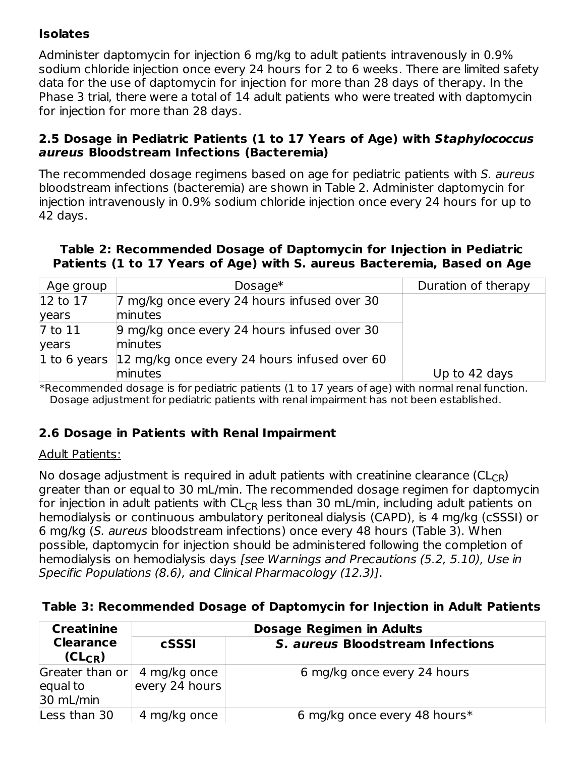### **Isolates**

Administer daptomycin for injection 6 mg/kg to adult patients intravenously in 0.9% sodium chloride injection once every 24 hours for 2 to 6 weeks. There are limited safety data for the use of daptomycin for injection for more than 28 days of therapy. In the Phase 3 trial, there were a total of 14 adult patients who were treated with daptomycin for injection for more than 28 days.

#### **2.5 Dosage in Pediatric Patients (1 to 17 Years of Age) with Staphylococcus aureus Bloodstream Infections (Bacteremia)**

The recommended dosage regimens based on age for pediatric patients with S. aureus bloodstream infections (bacteremia) are shown in Table 2. Administer daptomycin for injection intravenously in 0.9% sodium chloride injection once every 24 hours for up to 42 days.

#### **Table 2: Recommended Dosage of Daptomycin for Injection in Pediatric Patients (1 to 17 Years of Age) with S. aureus Bacteremia, Based on Age**

| Age group | Dosage $*$                                                | Duration of therapy |
|-----------|-----------------------------------------------------------|---------------------|
| 12 to 17  | 7 mg/kg once every 24 hours infused over 30               |                     |
| years     | minutes                                                   |                     |
| 7 to 11   | 9 mg/kg once every 24 hours infused over 30               |                     |
| years     | minutes                                                   |                     |
|           | 1 to 6 years 12 mg/kg once every 24 hours infused over 60 |                     |
|           | minutes                                                   | Up to 42 days       |

\*Recommended dosage is for pediatric patients (1 to 17 years of age) with normal renal function. Dosage adjustment for pediatric patients with renal impairment has not been established.

#### **2.6 Dosage in Patients with Renal Impairment**

#### Adult Patients:

No dosage adjustment is required in adult patients with creatinine clearance (CL $_{\mathsf{CR}}$ ) greater than or equal to 30 mL/min. The recommended dosage regimen for daptomycin for injection in adult patients with  $\mathsf{CL_{CR}}$  less than 30 mL/min, including adult patients on hemodialysis or continuous ambulatory peritoneal dialysis (CAPD), is 4 mg/kg (cSSSI) or 6 mg/kg (S. aureus bloodstream infections) once every 48 hours (Table 3). When possible, daptomycin for injection should be administered following the completion of hemodialysis on hemodialysis days [see Warnings and Precautions (5.2, 5.10), Use in Specific Populations (8.6), and Clinical Pharmacology (12.3)].

#### **Table 3: Recommended Dosage of Daptomycin for Injection in Adult Patients**

| <b>Creatinine</b>                        | <b>Dosage Regimen in Adults</b> |                                         |  |
|------------------------------------------|---------------------------------|-----------------------------------------|--|
| <b>Clearance</b><br>cSSSI<br>$(CL_{CR})$ |                                 | <b>S. aureus Bloodstream Infections</b> |  |
| Greater than or<br>equal to<br>30 mL/min | 4 mg/kg once<br>every 24 hours  | 6 mg/kg once every 24 hours             |  |
| Less than 30                             | 4 mg/kg once                    | 6 mg/kg once every 48 hours*            |  |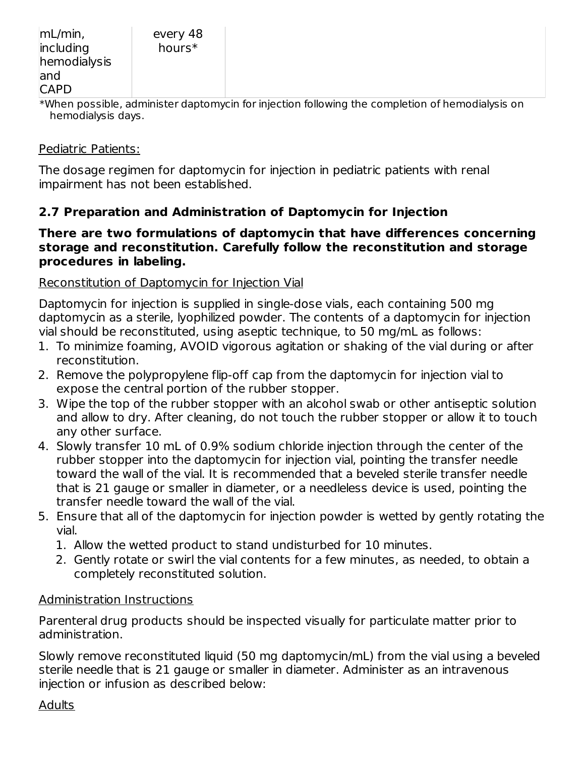\*When possible, administer daptomycin for injection following the completion of hemodialysis on hemodialysis days.

#### Pediatric Patients:

The dosage regimen for daptomycin for injection in pediatric patients with renal impairment has not been established.

#### **2.7 Preparation and Administration of Daptomycin for Injection**

#### **There are two formulations of daptomycin that have differences concerning storage and reconstitution. Carefully follow the reconstitution and storage procedures in labeling.**

#### Reconstitution of Daptomycin for Injection Vial

Daptomycin for injection is supplied in single-dose vials, each containing 500 mg daptomycin as a sterile, lyophilized powder. The contents of a daptomycin for injection vial should be reconstituted, using aseptic technique, to 50 mg/mL as follows:

- 1. To minimize foaming, AVOID vigorous agitation or shaking of the vial during or after reconstitution.
- 2. Remove the polypropylene flip-off cap from the daptomycin for injection vial to expose the central portion of the rubber stopper.
- 3. Wipe the top of the rubber stopper with an alcohol swab or other antiseptic solution and allow to dry. After cleaning, do not touch the rubber stopper or allow it to touch any other surface.
- 4. Slowly transfer 10 mL of 0.9% sodium chloride injection through the center of the rubber stopper into the daptomycin for injection vial, pointing the transfer needle toward the wall of the vial. It is recommended that a beveled sterile transfer needle that is 21 gauge or smaller in diameter, or a needleless device is used, pointing the transfer needle toward the wall of the vial.
- 5. Ensure that all of the daptomycin for injection powder is wetted by gently rotating the vial.
	- 1. Allow the wetted product to stand undisturbed for 10 minutes.
	- 2. Gently rotate or swirl the vial contents for a few minutes, as needed, to obtain a completely reconstituted solution.

#### Administration Instructions

Parenteral drug products should be inspected visually for particulate matter prior to administration.

Slowly remove reconstituted liquid (50 mg daptomycin/mL) from the vial using a beveled sterile needle that is 21 gauge or smaller in diameter. Administer as an intravenous injection or infusion as described below:

#### Adults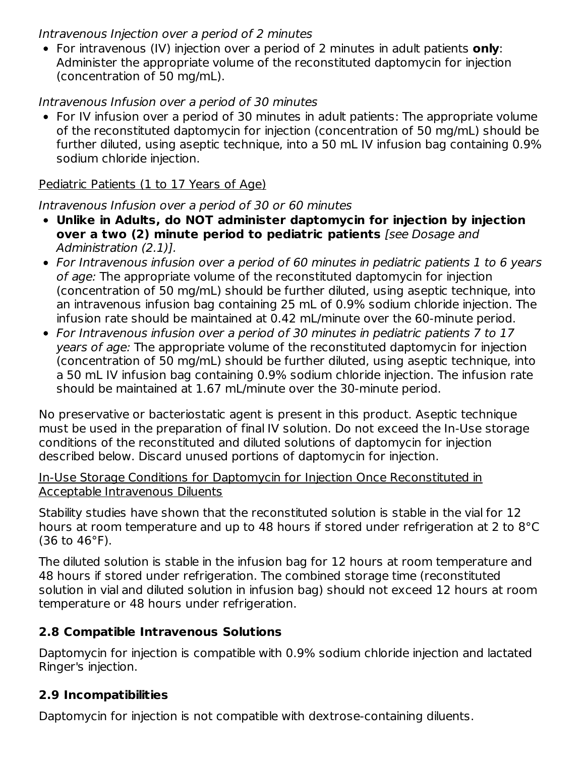#### Intravenous Injection over a period of 2 minutes

For intravenous (IV) injection over a period of 2 minutes in adult patients **only**: Administer the appropriate volume of the reconstituted daptomycin for injection (concentration of 50 mg/mL).

#### Intravenous Infusion over a period of 30 minutes

For IV infusion over a period of 30 minutes in adult patients: The appropriate volume of the reconstituted daptomycin for injection (concentration of 50 mg/mL) should be further diluted, using aseptic technique, into a 50 mL IV infusion bag containing 0.9% sodium chloride injection.

#### Pediatric Patients (1 to 17 Years of Age)

#### Intravenous Infusion over a period of 30 or 60 minutes

- **Unlike in Adults, do NOT administer daptomycin for injection by injection over a two (2) minute period to pediatric patients** [see Dosage and Administration (2.1)].
- For Intravenous infusion over a period of 60 minutes in pediatric patients 1 to 6 years of age: The appropriate volume of the reconstituted daptomycin for injection (concentration of 50 mg/mL) should be further diluted, using aseptic technique, into an intravenous infusion bag containing 25 mL of 0.9% sodium chloride injection. The infusion rate should be maintained at 0.42 mL/minute over the 60-minute period.
- For Intravenous infusion over a period of 30 minutes in pediatric patients 7 to 17 years of age: The appropriate volume of the reconstituted daptomycin for injection (concentration of 50 mg/mL) should be further diluted, using aseptic technique, into a 50 mL IV infusion bag containing 0.9% sodium chloride injection. The infusion rate should be maintained at 1.67 mL/minute over the 30-minute period.

No preservative or bacteriostatic agent is present in this product. Aseptic technique must be used in the preparation of final IV solution. Do not exceed the In-Use storage conditions of the reconstituted and diluted solutions of daptomycin for injection described below. Discard unused portions of daptomycin for injection.

#### In-Use Storage Conditions for Daptomycin for Injection Once Reconstituted in Acceptable Intravenous Diluents

Stability studies have shown that the reconstituted solution is stable in the vial for 12 hours at room temperature and up to 48 hours if stored under refrigeration at 2 to 8°C (36 to 46°F).

The diluted solution is stable in the infusion bag for 12 hours at room temperature and 48 hours if stored under refrigeration. The combined storage time (reconstituted solution in vial and diluted solution in infusion bag) should not exceed 12 hours at room temperature or 48 hours under refrigeration.

#### **2.8 Compatible Intravenous Solutions**

Daptomycin for injection is compatible with 0.9% sodium chloride injection and lactated Ringer's injection.

#### **2.9 Incompatibilities**

Daptomycin for injection is not compatible with dextrose-containing diluents.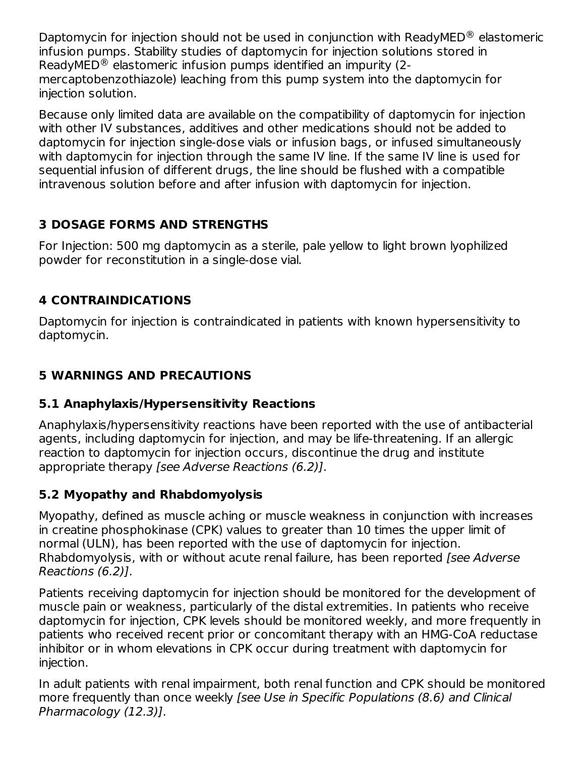Daptomycin for injection should not be used in conjunction with ReadyMED $^{\circledR}$  elastomeric infusion pumps. Stability studies of daptomycin for injection solutions stored in ReadyMED $^{\circledR}$  elastomeric infusion pumps identified an impurity (2mercaptobenzothiazole) leaching from this pump system into the daptomycin for injection solution.

Because only limited data are available on the compatibility of daptomycin for injection with other IV substances, additives and other medications should not be added to daptomycin for injection single-dose vials or infusion bags, or infused simultaneously with daptomycin for injection through the same IV line. If the same IV line is used for sequential infusion of different drugs, the line should be flushed with a compatible intravenous solution before and after infusion with daptomycin for injection.

### **3 DOSAGE FORMS AND STRENGTHS**

For Injection: 500 mg daptomycin as a sterile, pale yellow to light brown lyophilized powder for reconstitution in a single-dose vial.

### **4 CONTRAINDICATIONS**

Daptomycin for injection is contraindicated in patients with known hypersensitivity to daptomycin.

### **5 WARNINGS AND PRECAUTIONS**

### **5.1 Anaphylaxis/Hypersensitivity Reactions**

Anaphylaxis/hypersensitivity reactions have been reported with the use of antibacterial agents, including daptomycin for injection, and may be life-threatening. If an allergic reaction to daptomycin for injection occurs, discontinue the drug and institute appropriate therapy [see Adverse Reactions (6.2)].

### **5.2 Myopathy and Rhabdomyolysis**

Myopathy, defined as muscle aching or muscle weakness in conjunction with increases in creatine phosphokinase (CPK) values to greater than 10 times the upper limit of normal (ULN), has been reported with the use of daptomycin for injection. Rhabdomyolysis, with or without acute renal failure, has been reported [see Adverse] Reactions (6.2)].

Patients receiving daptomycin for injection should be monitored for the development of muscle pain or weakness, particularly of the distal extremities. In patients who receive daptomycin for injection, CPK levels should be monitored weekly, and more frequently in patients who received recent prior or concomitant therapy with an HMG-CoA reductase inhibitor or in whom elevations in CPK occur during treatment with daptomycin for injection.

In adult patients with renal impairment, both renal function and CPK should be monitored more frequently than once weekly [see Use in Specific Populations (8.6) and Clinical Pharmacology (12.3)].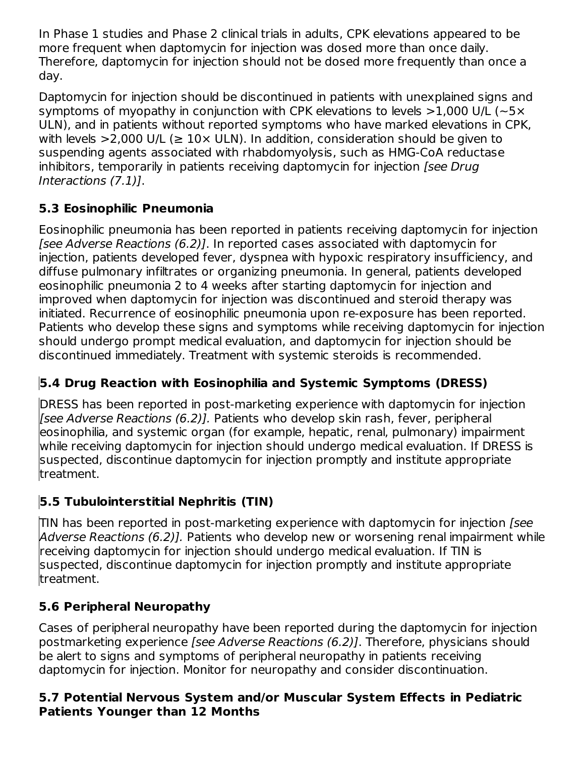In Phase 1 studies and Phase 2 clinical trials in adults, CPK elevations appeared to be more frequent when daptomycin for injection was dosed more than once daily. Therefore, daptomycin for injection should not be dosed more frequently than once a day.

Daptomycin for injection should be discontinued in patients with unexplained signs and symptoms of myopathy in conjunction with CPK elevations to levels  $>1,000$  U/L ( $\sim$ 5 $\times$ ULN), and in patients without reported symptoms who have marked elevations in CPK, with levels  $>$ 2,000 U/L ( $\geq$  10 $\times$  ULN). In addition, consideration should be given to suspending agents associated with rhabdomyolysis, such as HMG-CoA reductase inhibitors, temporarily in patients receiving daptomycin for injection (see Drug Interactions (7.1)].

### **5.3 Eosinophilic Pneumonia**

Eosinophilic pneumonia has been reported in patients receiving daptomycin for injection [see Adverse Reactions (6.2)]. In reported cases associated with daptomycin for injection, patients developed fever, dyspnea with hypoxic respiratory insufficiency, and diffuse pulmonary infiltrates or organizing pneumonia. In general, patients developed eosinophilic pneumonia 2 to 4 weeks after starting daptomycin for injection and improved when daptomycin for injection was discontinued and steroid therapy was initiated. Recurrence of eosinophilic pneumonia upon re-exposure has been reported. Patients who develop these signs and symptoms while receiving daptomycin for injection should undergo prompt medical evaluation, and daptomycin for injection should be discontinued immediately. Treatment with systemic steroids is recommended.

### **5.4 Drug Reaction with Eosinophilia and Systemic Symptoms (DRESS)**

DRESS has been reported in post-marketing experience with daptomycin for injection [see Adverse Reactions (6.2)]. Patients who develop skin rash, fever, peripheral eosinophilia, and systemic organ (for example, hepatic, renal, pulmonary) impairment while receiving daptomycin for injection should undergo medical evaluation. If DRESS is suspected, discontinue daptomycin for injection promptly and institute appropriate treatment.

### **5.5 Tubulointerstitial Nephritis (TIN)**

TIN has been reported in post-marketing experience with daptomycin for injection [see Adverse Reactions (6.2)]. Patients who develop new or worsening renal impairment while receiving daptomycin for injection should undergo medical evaluation. If TIN is suspected, discontinue daptomycin for injection promptly and institute appropriate treatment.

### **5.6 Peripheral Neuropathy**

Cases of peripheral neuropathy have been reported during the daptomycin for injection postmarketing experience [see Adverse Reactions (6.2)]. Therefore, physicians should be alert to signs and symptoms of peripheral neuropathy in patients receiving daptomycin for injection. Monitor for neuropathy and consider discontinuation.

#### **5.7 Potential Nervous System and/or Muscular System Effects in Pediatric Patients Younger than 12 Months**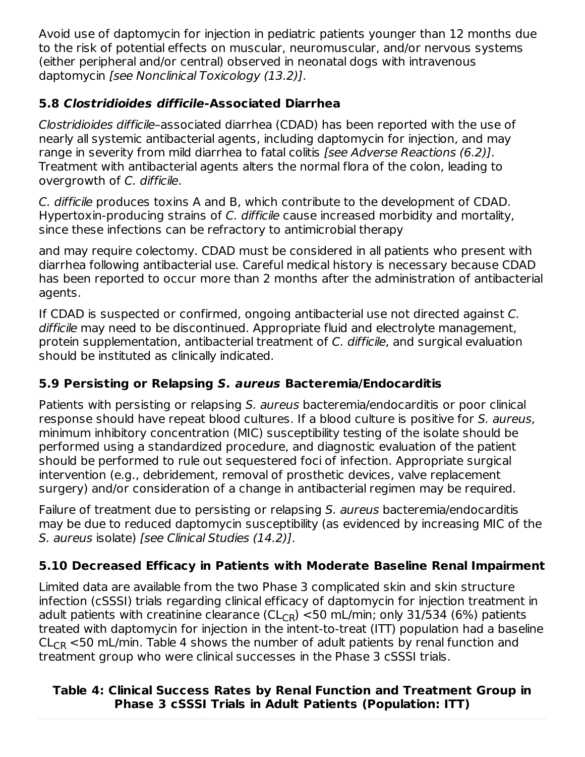Avoid use of daptomycin for injection in pediatric patients younger than 12 months due to the risk of potential effects on muscular, neuromuscular, and/or nervous systems (either peripheral and/or central) observed in neonatal dogs with intravenous daptomycin [see Nonclinical Toxicology (13.2)].

### **5.8 Clostridioides difficile-Associated Diarrhea**

Clostridioides difficile–associated diarrhea (CDAD) has been reported with the use of nearly all systemic antibacterial agents, including daptomycin for injection, and may range in severity from mild diarrhea to fatal colitis [see Adverse Reactions (6.2)]. Treatment with antibacterial agents alters the normal flora of the colon, leading to overgrowth of C. difficile.

C. difficile produces toxins A and B, which contribute to the development of CDAD. Hypertoxin-producing strains of C. difficile cause increased morbidity and mortality, since these infections can be refractory to antimicrobial therapy

and may require colectomy. CDAD must be considered in all patients who present with diarrhea following antibacterial use. Careful medical history is necessary because CDAD has been reported to occur more than 2 months after the administration of antibacterial agents.

If CDAD is suspected or confirmed, ongoing antibacterial use not directed against C. difficile may need to be discontinued. Appropriate fluid and electrolyte management, protein supplementation, antibacterial treatment of C. difficile, and surgical evaluation should be instituted as clinically indicated.

### **5.9 Persisting or Relapsing S. aureus Bacteremia/Endocarditis**

Patients with persisting or relapsing S. aureus bacteremia/endocarditis or poor clinical response should have repeat blood cultures. If a blood culture is positive for S. aureus, minimum inhibitory concentration (MIC) susceptibility testing of the isolate should be performed using a standardized procedure, and diagnostic evaluation of the patient should be performed to rule out sequestered foci of infection. Appropriate surgical intervention (e.g., debridement, removal of prosthetic devices, valve replacement surgery) and/or consideration of a change in antibacterial regimen may be required.

Failure of treatment due to persisting or relapsing S. aureus bacteremia/endocarditis may be due to reduced daptomycin susceptibility (as evidenced by increasing MIC of the S. aureus isolate) [see Clinical Studies (14.2)].

### **5.10 Decreased Efficacy in Patients with Moderate Baseline Renal Impairment**

Limited data are available from the two Phase 3 complicated skin and skin structure infection (cSSSI) trials regarding clinical efficacy of daptomycin for injection treatment in adult patients with creatinine clearance (CL<sub>CR</sub>)  $<$ 50 mL/min; only 31/534 (6%) patients treated with daptomycin for injection in the intent-to-treat (ITT) population had a baseline  $\mathsf{CL}_{\mathsf{CR}}$  <50 mL/min. Table 4 shows the number of adult patients by renal function and treatment group who were clinical successes in the Phase 3 cSSSI trials.

#### **Table 4: Clinical Success Rates by Renal Function and Treatment Group in Phase 3 cSSSI Trials in Adult Patients (Population: ITT)**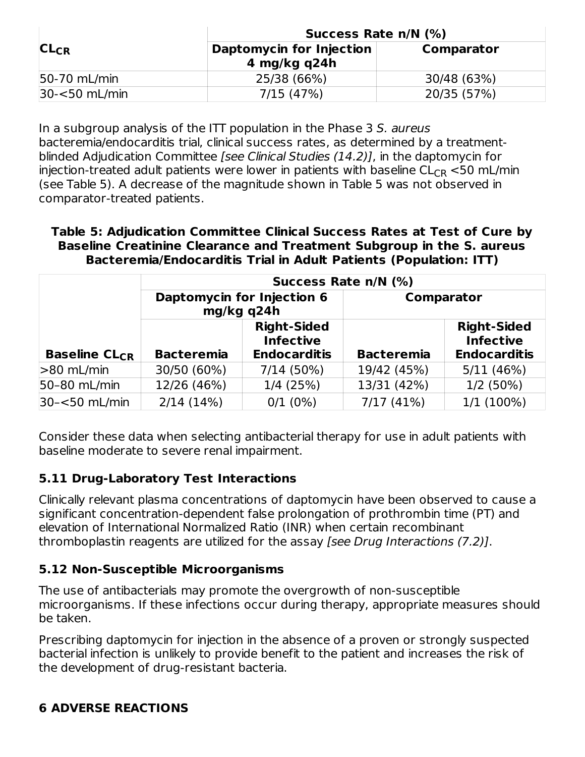|                  | Success Rate n/N (%)                       |             |  |
|------------------|--------------------------------------------|-------------|--|
| $CL_{CR}$        | Daptomycin for Injection<br>4 mg/kg $q24h$ | Comparator  |  |
| 50-70 mL/min     | 25/38 (66%)                                | 30/48 (63%) |  |
| $30 - 50$ mL/min | 7/15(47%)                                  | 20/35 (57%) |  |

In a subgroup analysis of the ITT population in the Phase 3 S. aureus bacteremia/endocarditis trial, clinical success rates, as determined by a treatmentblinded Adjudication Committee [see Clinical Studies (14.2)], in the daptomycin for injection-treated adult patients were lower in patients with baseline  $\mathsf{CL}_{\mathsf{CR}}\operatorname{<{50}}$  mL/min (see Table 5). A decrease of the magnitude shown in Table 5 was not observed in comparator-treated patients.

**Table 5: Adjudication Committee Clinical Success Rates at Test of Cure by Baseline Creatinine Clearance and Treatment Subgroup in the S. aureus Bacteremia/Endocarditis Trial in Adult Patients (Population: ITT)**

|                                 | Success Rate n/N (%)                     |                                                               |                   |                                                               |
|---------------------------------|------------------------------------------|---------------------------------------------------------------|-------------------|---------------------------------------------------------------|
|                                 | Daptomycin for Injection 6<br>mg/kg q24h |                                                               | Comparator        |                                                               |
| <b>Baseline CL<sub>CR</sub></b> | <b>Bacteremia</b>                        | <b>Right-Sided</b><br><b>Infective</b><br><b>Endocarditis</b> | <b>Bacteremia</b> | <b>Right-Sided</b><br><b>Infective</b><br><b>Endocarditis</b> |
| $>80$ mL/min                    | 30/50 (60%)                              | 7/14(50%)                                                     | 19/42 (45%)       | 5/11(46%)                                                     |
| 50-80 mL/min                    | 12/26 (46%)                              | 1/4(25%)                                                      | 13/31 (42%)       | $1/2(50\%)$                                                   |
| 30-<50 mL/min                   | 2/14(14%)                                | $0/1$ (0%)                                                    | 7/17(41%)         | $1/1(100\%)$                                                  |

Consider these data when selecting antibacterial therapy for use in adult patients with baseline moderate to severe renal impairment.

#### **5.11 Drug-Laboratory Test Interactions**

Clinically relevant plasma concentrations of daptomycin have been observed to cause a significant concentration-dependent false prolongation of prothrombin time (PT) and elevation of International Normalized Ratio (INR) when certain recombinant thromboplastin reagents are utilized for the assay [see Drug Interactions (7.2)].

#### **5.12 Non-Susceptible Microorganisms**

The use of antibacterials may promote the overgrowth of non-susceptible microorganisms. If these infections occur during therapy, appropriate measures should be taken.

Prescribing daptomycin for injection in the absence of a proven or strongly suspected bacterial infection is unlikely to provide benefit to the patient and increases the risk of the development of drug-resistant bacteria.

### **6 ADVERSE REACTIONS**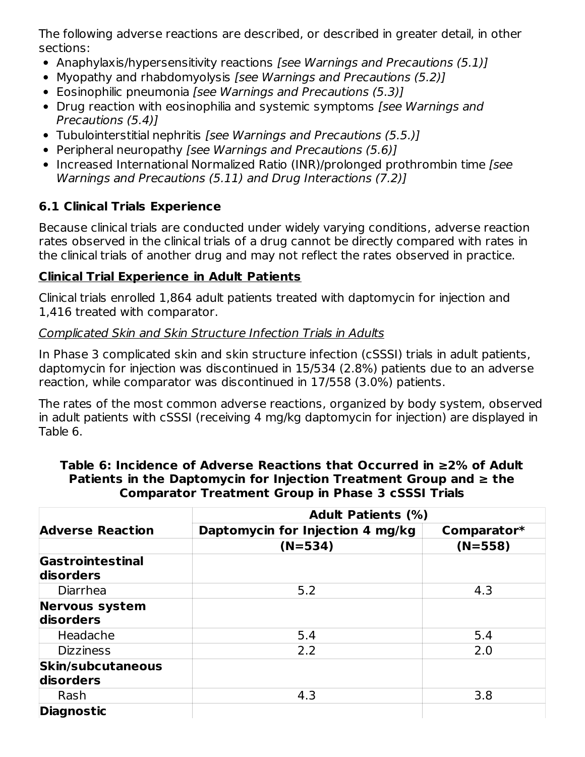The following adverse reactions are described, or described in greater detail, in other sections:

- Anaphylaxis/hypersensitivity reactions [see Warnings and Precautions (5.1)]
- Myopathy and rhabdomyolysis [see Warnings and Precautions (5.2)]
- Eosinophilic pneumonia *[see Warnings and Precautions (5.3)]*
- Drug reaction with eosinophilia and systemic symptoms *[see Warnings and* Precautions (5.4)]
- Tubulointerstitial nephritis [see Warnings and Precautions (5.5.)]
- Peripheral neuropathy [see Warnings and Precautions (5.6)]
- Increased International Normalized Ratio (INR)/prolonged prothrombin time [see Warnings and Precautions (5.11) and Drug Interactions (7.2)]

## **6.1 Clinical Trials Experience**

Because clinical trials are conducted under widely varying conditions, adverse reaction rates observed in the clinical trials of a drug cannot be directly compared with rates in the clinical trials of another drug and may not reflect the rates observed in practice.

### **Clinical Trial Experience in Adult Patients**

Clinical trials enrolled 1,864 adult patients treated with daptomycin for injection and 1,416 treated with comparator.

### Complicated Skin and Skin Structure Infection Trials in Adults

In Phase 3 complicated skin and skin structure infection (cSSSI) trials in adult patients, daptomycin for injection was discontinued in 15/534 (2.8%) patients due to an adverse reaction, while comparator was discontinued in 17/558 (3.0%) patients.

The rates of the most common adverse reactions, organized by body system, observed in adult patients with cSSSI (receiving 4 mg/kg daptomycin for injection) are displayed in Table 6.

|                                       | <b>Adult Patients (%)</b>        |             |  |
|---------------------------------------|----------------------------------|-------------|--|
| <b>Adverse Reaction</b>               | Daptomycin for Injection 4 mg/kg | Comparator* |  |
|                                       | $(N=534)$                        | $(N=558)$   |  |
| Gastrointestinal<br>disorders         |                                  |             |  |
| Diarrhea                              | 5.2                              | 4.3         |  |
| <b>Nervous system</b><br>disorders    |                                  |             |  |
| Headache                              | 5.4                              | 5.4         |  |
| <b>Dizziness</b>                      | 2.2                              | 2.0         |  |
| <b>Skin/subcutaneous</b><br>disorders |                                  |             |  |
| Rash                                  | 4.3                              | 3.8         |  |
| <b>Diagnostic</b>                     |                                  |             |  |

#### **Table 6: Incidence of Adverse Reactions that Occurred in ≥2% of Adult Patients in the Daptomycin for Injection Treatment Group and ≥ the Comparator Treatment Group in Phase 3 cSSSI Trials**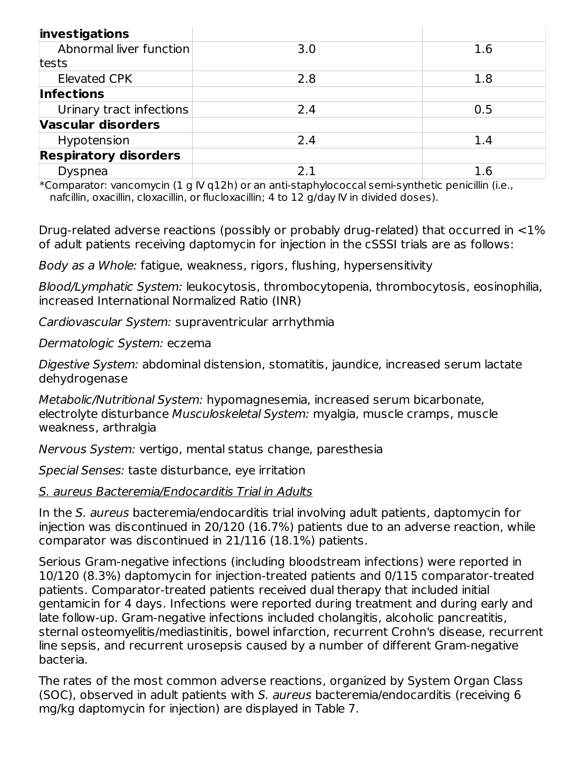| investigations               |     |     |
|------------------------------|-----|-----|
| Abnormal liver function      | 3.0 | 1.6 |
| tests                        |     |     |
| <b>Elevated CPK</b>          | 2.8 | 1.8 |
| <b>Infections</b>            |     |     |
| Urinary tract infections     | 2.4 | 0.5 |
| Vascular disorders           |     |     |
| Hypotension                  | 2.4 | 1.4 |
| <b>Respiratory disorders</b> |     |     |
| Dyspnea                      | 21  | 1.6 |

\*Comparator: vancomycin (1 g IV q12h) or an anti-staphylococcal semi-synthetic penicillin (i.e., nafcillin, oxacillin, cloxacillin, or flucloxacillin; 4 to 12 g/day IV in divided doses).

Drug-related adverse reactions (possibly or probably drug-related) that occurred in <1% of adult patients receiving daptomycin for injection in the cSSSI trials are as follows:

Body as a Whole: fatigue, weakness, rigors, flushing, hypersensitivity

Blood/Lymphatic System: leukocytosis, thrombocytopenia, thrombocytosis, eosinophilia, increased International Normalized Ratio (INR)

Cardiovascular System: supraventricular arrhythmia

Dermatologic System: eczema

Digestive System: abdominal distension, stomatitis, jaundice, increased serum lactate dehydrogenase

Metabolic/Nutritional System: hypomagnesemia, increased serum bicarbonate, electrolyte disturbance Musculoskeletal System: myalgia, muscle cramps, muscle weakness, arthralgia

Nervous System: vertigo, mental status change, paresthesia

Special Senses: taste disturbance, eye irritation

#### S. aureus Bacteremia/Endocarditis Trial in Adults

In the S. aureus bacteremia/endocarditis trial involving adult patients, daptomycin for injection was discontinued in 20/120 (16.7%) patients due to an adverse reaction, while comparator was discontinued in 21/116 (18.1%) patients.

Serious Gram-negative infections (including bloodstream infections) were reported in 10/120 (8.3%) daptomycin for injection-treated patients and 0/115 comparator-treated patients. Comparator-treated patients received dual therapy that included initial gentamicin for 4 days. Infections were reported during treatment and during early and late follow-up. Gram-negative infections included cholangitis, alcoholic pancreatitis, sternal osteomyelitis/mediastinitis, bowel infarction, recurrent Crohn's disease, recurrent line sepsis, and recurrent urosepsis caused by a number of different Gram-negative bacteria.

The rates of the most common adverse reactions, organized by System Organ Class (SOC), observed in adult patients with S. aureus bacteremia/endocarditis (receiving 6 mg/kg daptomycin for injection) are displayed in Table 7.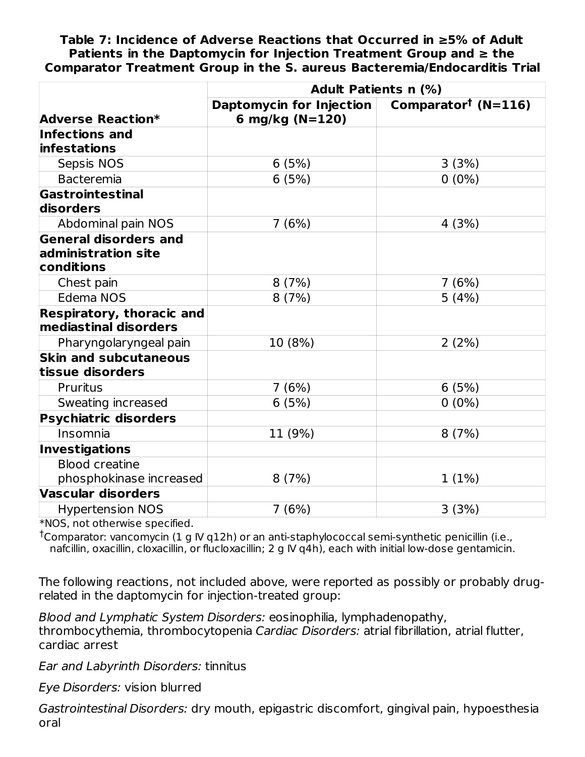**Table 7: Incidence of Adverse Reactions that Occurred in ≥5% of Adult Patients in the Daptomycin for Injection Treatment Group and ≥ the Comparator Treatment Group in the S. aureus Bacteremia/Endocarditis Trial**

|                                                                   | <b>Adult Patients n (%)</b>                 |                                 |  |
|-------------------------------------------------------------------|---------------------------------------------|---------------------------------|--|
| <b>Adverse Reaction*</b>                                          | Daptomycin for Injection<br>6 mg/kg (N=120) | Comparator <sup>†</sup> (N=116) |  |
| <b>Infections and</b><br>infestations                             |                                             |                                 |  |
| Sepsis NOS                                                        | 6(5%)                                       | 3(3%)                           |  |
| <b>Bacteremia</b>                                                 | 6(5%)                                       | $0(0\%)$                        |  |
| Gastrointestinal<br>disorders                                     |                                             |                                 |  |
| Abdominal pain NOS                                                | 7(6%)                                       | 4(3%)                           |  |
| <b>General disorders and</b><br>administration site<br>conditions |                                             |                                 |  |
| Chest pain                                                        | 8(7%)                                       | 7(6%)                           |  |
| Edema NOS                                                         | 8(7%)                                       | 5(4%)                           |  |
| <b>Respiratory, thoracic and</b><br>mediastinal disorders         |                                             |                                 |  |
| Pharyngolaryngeal pain                                            | 10 (8%)                                     | 2(2%)                           |  |
| <b>Skin and subcutaneous</b><br>tissue disorders                  |                                             |                                 |  |
| <b>Pruritus</b>                                                   | 7(6%)                                       | 6(5%)                           |  |
| Sweating increased                                                | 6(5%)                                       | $0(0\%)$                        |  |
| <b>Psychiatric disorders</b>                                      |                                             |                                 |  |
| Insomnia                                                          | 11 (9%)                                     | 8(7%)                           |  |
| <b>Investigations</b>                                             |                                             |                                 |  |
| <b>Blood creatine</b><br>phosphokinase increased                  | 8(7%)                                       | 1(1%)                           |  |
| <b>Vascular disorders</b>                                         |                                             |                                 |  |
| <b>Hypertension NOS</b>                                           | 7(6%)                                       | 3(3%)                           |  |

\*NOS, not otherwise specified.

<sup>†</sup>Comparator: vancomycin (1 g IV q12h) or an anti-staphylococcal semi-synthetic penicillin (i.e., nafcillin, oxacillin, cloxacillin, or flucloxacillin; 2 g IV q4h), each with initial low-dose gentamicin.

The following reactions, not included above, were reported as possibly or probably drugrelated in the daptomycin for injection-treated group:

Blood and Lymphatic System Disorders: eosinophilia, lymphadenopathy, thrombocythemia, thrombocytopenia Cardiac Disorders: atrial fibrillation, atrial flutter, cardiac arrest

Ear and Labyrinth Disorders: tinnitus

Eye Disorders: vision blurred

Gastrointestinal Disorders: dry mouth, epigastric discomfort, gingival pain, hypoesthesia oral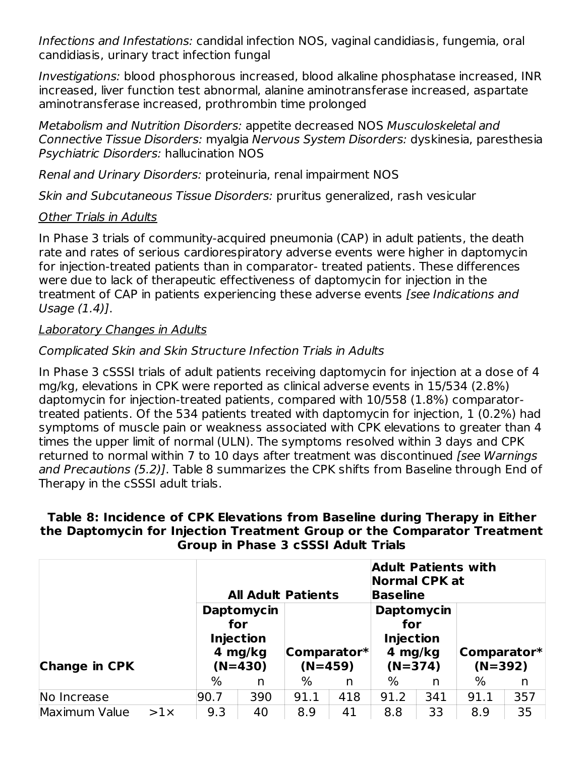Infections and Infestations: candidal infection NOS, vaginal candidiasis, fungemia, oral candidiasis, urinary tract infection fungal

Investigations: blood phosphorous increased, blood alkaline phosphatase increased, INR increased, liver function test abnormal, alanine aminotransferase increased, aspartate aminotransferase increased, prothrombin time prolonged

Metabolism and Nutrition Disorders: appetite decreased NOS Musculoskeletal and Connective Tissue Disorders: myalgia Nervous System Disorders: dyskinesia, paresthesia Psychiatric Disorders: hallucination NOS

Renal and Urinary Disorders: proteinuria, renal impairment NOS

Skin and Subcutaneous Tissue Disorders: pruritus generalized, rash vesicular

#### Other Trials in Adults

In Phase 3 trials of community-acquired pneumonia (CAP) in adult patients, the death rate and rates of serious cardiorespiratory adverse events were higher in daptomycin for injection-treated patients than in comparator- treated patients. These differences were due to lack of therapeutic effectiveness of daptomycin for injection in the treatment of CAP in patients experiencing these adverse events [see Indications and Usage (1.4)].

#### Laboratory Changes in Adults

#### Complicated Skin and Skin Structure Infection Trials in Adults

In Phase 3 cSSSI trials of adult patients receiving daptomycin for injection at a dose of 4 mg/kg, elevations in CPK were reported as clinical adverse events in 15/534 (2.8%) daptomycin for injection-treated patients, compared with 10/558 (1.8%) comparatortreated patients. Of the 534 patients treated with daptomycin for injection, 1 (0.2%) had symptoms of muscle pain or weakness associated with CPK elevations to greater than 4 times the upper limit of normal (ULN). The symptoms resolved within 3 days and CPK returned to normal within 7 to 10 days after treatment was discontinued [see Warnings] and Precautions (5.2)]. Table 8 summarizes the CPK shifts from Baseline through End of Therapy in the cSSSI adult trials.

#### **Table 8: Incidence of CPK Elevations from Baseline during Therapy in Either the Daptomycin for Injection Treatment Group or the Comparator Treatment Group in Phase 3 cSSSI Adult Trials**

|                      |            |      |                                                                      | <b>All Adult Patients</b> |     | <b>Adult Patients with</b><br><b>Normal CPK at</b><br><b>Baseline</b> |     |                          |     |
|----------------------|------------|------|----------------------------------------------------------------------|---------------------------|-----|-----------------------------------------------------------------------|-----|--------------------------|-----|
| <b>Change in CPK</b> |            |      | <b>Daptomycin</b><br>for<br><b>Injection</b><br>4 mg/kg<br>$(N=430)$ | Comparator*<br>$(N=459)$  |     | <b>Daptomycin</b><br>for<br><b>Injection</b><br>4 mg/kg<br>$(N=374)$  |     | Comparator*<br>$(N=392)$ |     |
|                      |            | $\%$ | n                                                                    | ℅                         | n   | %                                                                     | n   | %                        | n   |
| No Increase          |            | 90.7 | 390                                                                  | 91.1                      | 418 | 91.2                                                                  | 341 | 91.1                     | 357 |
| Maximum Value        | $>1\times$ | 9.3  | 40                                                                   | 8.9                       | 41  | 8.8                                                                   | 33  | 8.9                      | 35  |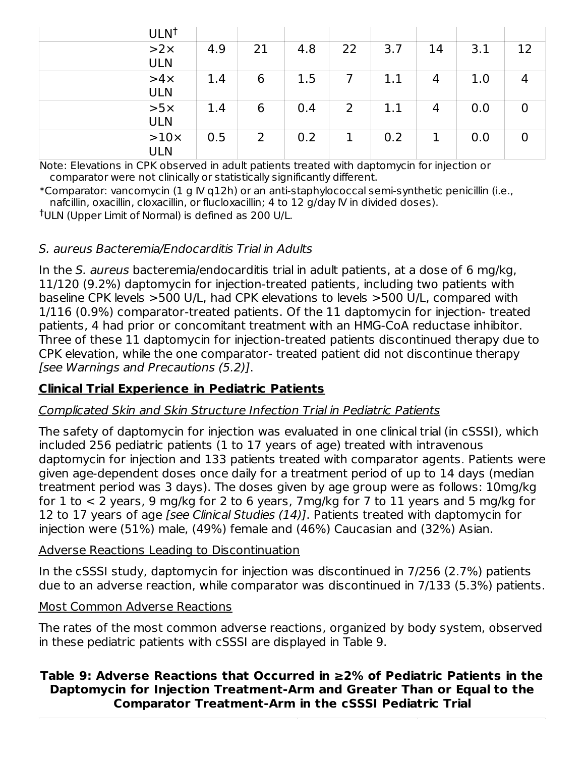| ULN <sup>t</sup>          |     |    |     |    |     |    |     |    |
|---------------------------|-----|----|-----|----|-----|----|-----|----|
| $>2\times$<br><b>ULN</b>  | 4.9 | 21 | 4.8 | 22 | 3.7 | 14 | 3.1 | 12 |
| $>4\times$<br><b>ULN</b>  | 1.4 | 6  | 1.5 |    | 1.1 | 4  | 1.0 | 4  |
| $>5\times$<br><b>ULN</b>  | 1.4 | 6  | 0.4 | 2  | 1.1 | 4  | 0.0 | 0  |
| $>10\times$<br><b>ULN</b> | 0.5 | 2  | 0.2 | 1  | 0.2 |    | 0.0 | 0  |

Note: Elevations in CPK observed in adult patients treated with daptomycin for injection or comparator were not clinically or statistically significantly different.

\*Comparator: vancomycin (1 g IV q12h) or an anti-staphylococcal semi-synthetic penicillin (i.e., nafcillin, oxacillin, cloxacillin, or flucloxacillin; 4 to 12 g/day IV in divided doses).

<sup>†</sup>ULN (Upper Limit of Normal) is defined as 200 U/L.

#### S. aureus Bacteremia/Endocarditis Trial in Adults

In the S. aureus bacteremia/endocarditis trial in adult patients, at a dose of 6 mg/kg, 11/120 (9.2%) daptomycin for injection-treated patients, including two patients with baseline CPK levels >500 U/L, had CPK elevations to levels >500 U/L, compared with 1/116 (0.9%) comparator-treated patients. Of the 11 daptomycin for injection- treated patients, 4 had prior or concomitant treatment with an HMG-CoA reductase inhibitor. Three of these 11 daptomycin for injection-treated patients discontinued therapy due to CPK elevation, while the one comparator- treated patient did not discontinue therapy [see Warnings and Precautions (5.2)].

### **Clinical Trial Experience in Pediatric Patients**

#### Complicated Skin and Skin Structure Infection Trial in Pediatric Patients

The safety of daptomycin for injection was evaluated in one clinical trial (in cSSSI), which included 256 pediatric patients (1 to 17 years of age) treated with intravenous daptomycin for injection and 133 patients treated with comparator agents. Patients were given age-dependent doses once daily for a treatment period of up to 14 days (median treatment period was 3 days). The doses given by age group were as follows: 10mg/kg for  $1$  to  $\lt 2$  years, 9 mg/kg for 2 to 6 years, 7mg/kg for 7 to  $11$  years and 5 mg/kg for 12 to 17 years of age [see Clinical Studies (14)]. Patients treated with daptomycin for injection were (51%) male, (49%) female and (46%) Caucasian and (32%) Asian.

#### Adverse Reactions Leading to Discontinuation

In the cSSSI study, daptomycin for injection was discontinued in 7/256 (2.7%) patients due to an adverse reaction, while comparator was discontinued in 7/133 (5.3%) patients.

#### Most Common Adverse Reactions

The rates of the most common adverse reactions, organized by body system, observed in these pediatric patients with cSSSI are displayed in Table 9.

#### **Table 9: Adverse Reactions that Occurred in ≥2% of Pediatric Patients in the Daptomycin for Injection Treatment-Arm and Greater Than or Equal to the Comparator Treatment-Arm in the cSSSI Pediatric Trial**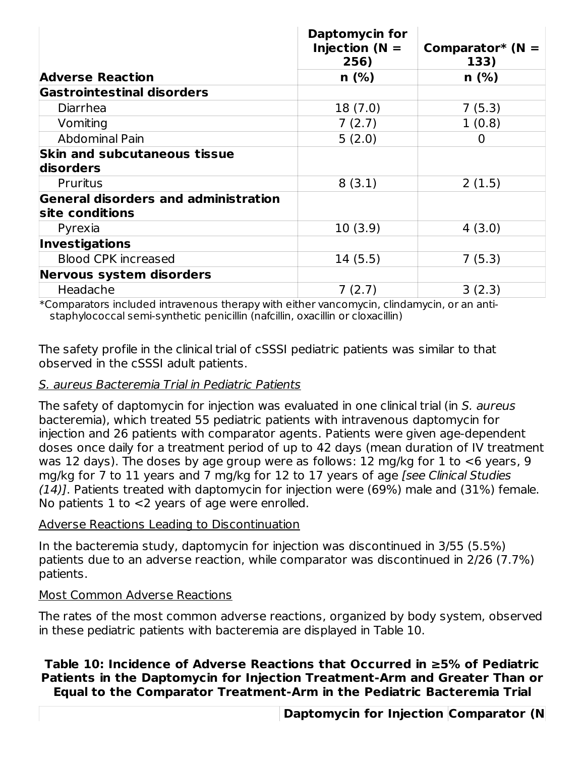|                                                                | <b>Daptomycin for</b><br>Injection ( $N =$<br>256) | Comparator* ( $N =$<br>133) |
|----------------------------------------------------------------|----------------------------------------------------|-----------------------------|
| <b>Adverse Reaction</b>                                        | $n$ (%)                                            | $n$ (%)                     |
| <b>Gastrointestinal disorders</b>                              |                                                    |                             |
| Diarrhea                                                       | 18 (7.0)                                           | 7(5.3)                      |
| Vomiting                                                       | 7(2.7)                                             | 1(0.8)                      |
| Abdominal Pain                                                 | 5(2.0)                                             | 0                           |
| <b>Skin and subcutaneous tissue</b><br>disorders               |                                                    |                             |
| <b>Pruritus</b>                                                | 8(3.1)                                             | 2(1.5)                      |
| <b>General disorders and administration</b><br>site conditions |                                                    |                             |
| Pyrexia                                                        | 10(3.9)                                            | 4(3.0)                      |
| <b>Investigations</b>                                          |                                                    |                             |
| <b>Blood CPK increased</b>                                     | 14(5.5)                                            | 7(5.3)                      |
| Nervous system disorders                                       |                                                    |                             |
| Headache                                                       | 7(2.7)                                             | 3(2.3)                      |

\*Comparators included intravenous therapy with either vancomycin, clindamycin, or an antistaphylococcal semi-synthetic penicillin (nafcillin, oxacillin or cloxacillin)

The safety profile in the clinical trial of cSSSI pediatric patients was similar to that observed in the cSSSI adult patients.

#### S. aureus Bacteremia Trial in Pediatric Patients

The safety of daptomycin for injection was evaluated in one clinical trial (in S. aureus bacteremia), which treated 55 pediatric patients with intravenous daptomycin for injection and 26 patients with comparator agents. Patients were given age-dependent doses once daily for a treatment period of up to 42 days (mean duration of IV treatment was 12 days). The doses by age group were as follows: 12 mg/kg for 1 to <6 years, 9 mg/kg for 7 to 11 years and 7 mg/kg for 12 to 17 years of age [see Clinical Studies  $(14)$ ]. Patients treated with daptomycin for injection were (69%) male and (31%) female. No patients 1 to <2 years of age were enrolled.

#### Adverse Reactions Leading to Discontinuation

In the bacteremia study, daptomycin for injection was discontinued in 3/55 (5.5%) patients due to an adverse reaction, while comparator was discontinued in 2/26 (7.7%) patients.

#### Most Common Adverse Reactions

The rates of the most common adverse reactions, organized by body system, observed in these pediatric patients with bacteremia are displayed in Table 10.

#### **Table 10: Incidence of Adverse Reactions that Occurred in ≥5% of Pediatric Patients in the Daptomycin for Injection Treatment-Arm and Greater Than or Equal to the Comparator Treatment-Arm in the Pediatric Bacteremia Trial**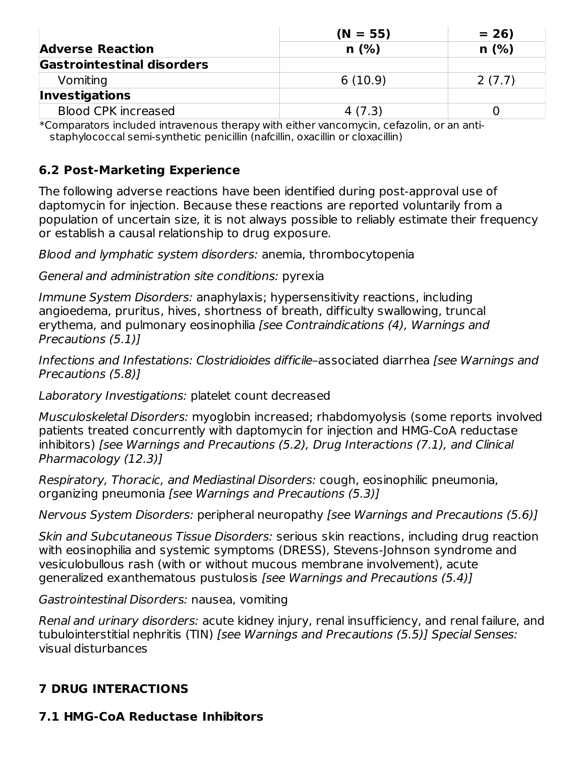|                            | $(N = 55)$ | $= 26$ |
|----------------------------|------------|--------|
| <b>Adverse Reaction</b>    | n(%)       | n(%)   |
| Gastrointestinal disorders |            |        |
| Vomiting                   | 6(10.9)    | 2(7.7) |
| <b>Investigations</b>      |            |        |
| <b>Blood CPK increased</b> | 4(7.3)     |        |

\*Comparators included intravenous therapy with either vancomycin, cefazolin, or an antistaphylococcal semi-synthetic penicillin (nafcillin, oxacillin or cloxacillin)

#### **6.2 Post-Marketing Experience**

The following adverse reactions have been identified during post-approval use of daptomycin for injection. Because these reactions are reported voluntarily from a population of uncertain size, it is not always possible to reliably estimate their frequency or establish a causal relationship to drug exposure.

Blood and lymphatic system disorders: anemia, thrombocytopenia

General and administration site conditions: pyrexia

Immune System Disorders: anaphylaxis; hypersensitivity reactions, including angioedema, pruritus, hives, shortness of breath, difficulty swallowing, truncal erythema, and pulmonary eosinophilia [see Contraindications (4), Warnings and Precautions (5.1)]

Infections and Infestations: Clostridioides difficile–associated diarrhea [see Warnings and Precautions (5.8)]

Laboratory Investigations: platelet count decreased

Musculoskeletal Disorders: myoglobin increased; rhabdomyolysis (some reports involved patients treated concurrently with daptomycin for injection and HMG-CoA reductase inhibitors) [see Warnings and Precautions (5.2), Drug Interactions (7.1), and Clinical Pharmacology (12.3)]

Respiratory, Thoracic, and Mediastinal Disorders: cough, eosinophilic pneumonia, organizing pneumonia [see Warnings and Precautions (5.3)]

Nervous System Disorders: peripheral neuropathy [see Warnings and Precautions (5.6)]

Skin and Subcutaneous Tissue Disorders: serious skin reactions, including drug reaction with eosinophilia and systemic symptoms (DRESS), Stevens-Johnson syndrome and vesiculobullous rash (with or without mucous membrane involvement), acute generalized exanthematous pustulosis [see Warnings and Precautions (5.4)]

Gastrointestinal Disorders: nausea, vomiting

Renal and urinary disorders: acute kidney injury, renal insufficiency, and renal failure, and tubulointerstitial nephritis (TIN) [see Warnings and Precautions (5.5)] Special Senses: visual disturbances

### **7 DRUG INTERACTIONS**

#### **7.1 HMG-CoA Reductase Inhibitors**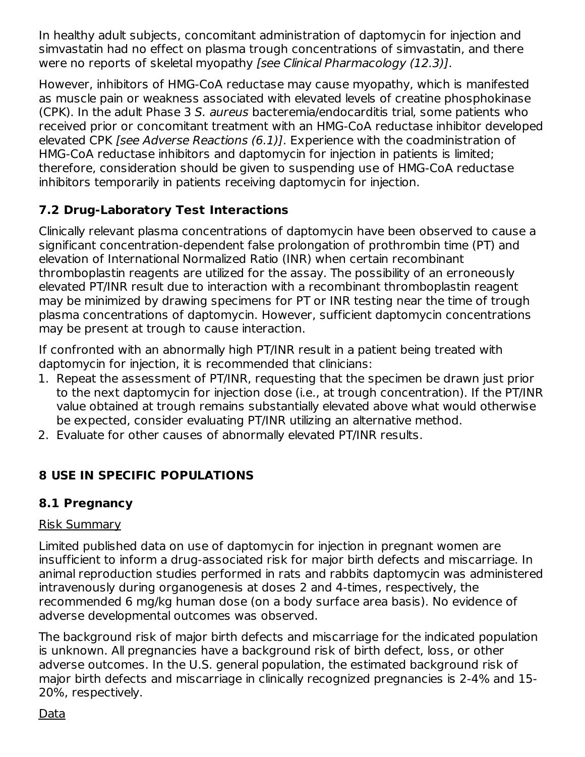In healthy adult subjects, concomitant administration of daptomycin for injection and simvastatin had no effect on plasma trough concentrations of simvastatin, and there were no reports of skeletal myopathy [see Clinical Pharmacology (12.3)].

However, inhibitors of HMG-CoA reductase may cause myopathy, which is manifested as muscle pain or weakness associated with elevated levels of creatine phosphokinase (CPK). In the adult Phase 3 S. aureus bacteremia/endocarditis trial, some patients who received prior or concomitant treatment with an HMG-CoA reductase inhibitor developed elevated CPK [see Adverse Reactions (6.1)]. Experience with the coadministration of HMG-CoA reductase inhibitors and daptomycin for injection in patients is limited; therefore, consideration should be given to suspending use of HMG-CoA reductase inhibitors temporarily in patients receiving daptomycin for injection.

### **7.2 Drug-Laboratory Test Interactions**

Clinically relevant plasma concentrations of daptomycin have been observed to cause a significant concentration-dependent false prolongation of prothrombin time (PT) and elevation of International Normalized Ratio (INR) when certain recombinant thromboplastin reagents are utilized for the assay. The possibility of an erroneously elevated PT/INR result due to interaction with a recombinant thromboplastin reagent may be minimized by drawing specimens for PT or INR testing near the time of trough plasma concentrations of daptomycin. However, sufficient daptomycin concentrations may be present at trough to cause interaction.

If confronted with an abnormally high PT/INR result in a patient being treated with daptomycin for injection, it is recommended that clinicians:

- 1. Repeat the assessment of PT/INR, requesting that the specimen be drawn just prior to the next daptomycin for injection dose (i.e., at trough concentration). If the PT/INR value obtained at trough remains substantially elevated above what would otherwise be expected, consider evaluating PT/INR utilizing an alternative method.
- 2. Evaluate for other causes of abnormally elevated PT/INR results.

### **8 USE IN SPECIFIC POPULATIONS**

### **8.1 Pregnancy**

#### Risk Summary

Limited published data on use of daptomycin for injection in pregnant women are insufficient to inform a drug-associated risk for major birth defects and miscarriage. In animal reproduction studies performed in rats and rabbits daptomycin was administered intravenously during organogenesis at doses 2 and 4-times, respectively, the recommended 6 mg/kg human dose (on a body surface area basis). No evidence of adverse developmental outcomes was observed.

The background risk of major birth defects and miscarriage for the indicated population is unknown. All pregnancies have a background risk of birth defect, loss, or other adverse outcomes. In the U.S. general population, the estimated background risk of major birth defects and miscarriage in clinically recognized pregnancies is 2-4% and 15- 20%, respectively.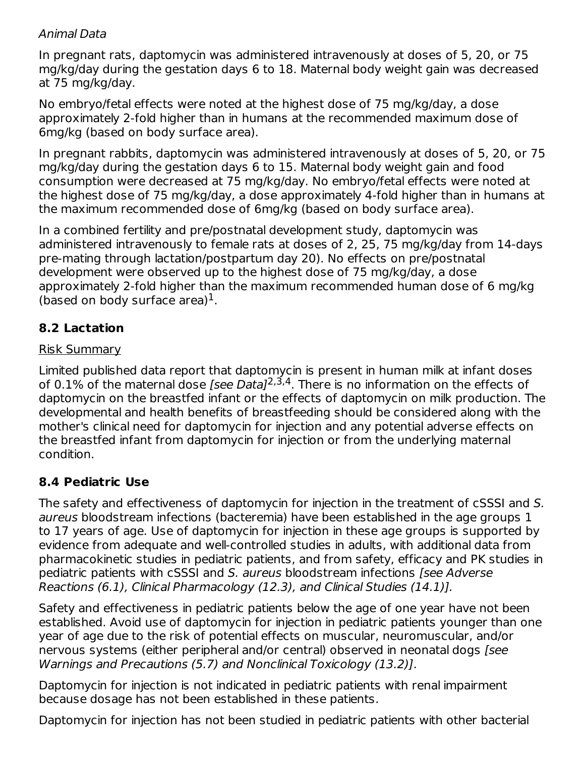#### Animal Data

In pregnant rats, daptomycin was administered intravenously at doses of 5, 20, or 75 mg/kg/day during the gestation days 6 to 18. Maternal body weight gain was decreased at 75 mg/kg/day.

No embryo/fetal effects were noted at the highest dose of 75 mg/kg/day, a dose approximately 2-fold higher than in humans at the recommended maximum dose of 6mg/kg (based on body surface area).

In pregnant rabbits, daptomycin was administered intravenously at doses of 5, 20, or 75 mg/kg/day during the gestation days 6 to 15. Maternal body weight gain and food consumption were decreased at 75 mg/kg/day. No embryo/fetal effects were noted at the highest dose of 75 mg/kg/day, a dose approximately 4-fold higher than in humans at the maximum recommended dose of 6mg/kg (based on body surface area).

In a combined fertility and pre/postnatal development study, daptomycin was administered intravenously to female rats at doses of 2, 25, 75 mg/kg/day from 14-days pre-mating through lactation/postpartum day 20). No effects on pre/postnatal development were observed up to the highest dose of 75 mg/kg/day, a dose approximately 2-fold higher than the maximum recommended human dose of 6 mg/kg (based on body surface area) $1$ .

### **8.2 Lactation**

#### Risk Summary

Limited published data report that daptomycin is present in human milk at infant doses of 0.1% of the maternal dose *[see Data]<sup>2,3,4</sup>. T*here is no information on the effects of daptomycin on the breastfed infant or the effects of daptomycin on milk production. The developmental and health benefits of breastfeeding should be considered along with the mother's clinical need for daptomycin for injection and any potential adverse effects on the breastfed infant from daptomycin for injection or from the underlying maternal condition.

#### **8.4 Pediatric Use**

The safety and effectiveness of daptomycin for injection in the treatment of cSSSI and S. aureus bloodstream infections (bacteremia) have been established in the age groups 1 to 17 years of age. Use of daptomycin for injection in these age groups is supported by evidence from adequate and well-controlled studies in adults, with additional data from pharmacokinetic studies in pediatric patients, and from safety, efficacy and PK studies in pediatric patients with cSSSI and S. aureus bloodstream infections [see Adverse Reactions (6.1), Clinical Pharmacology (12.3), and Clinical Studies (14.1)].

Safety and effectiveness in pediatric patients below the age of one year have not been established. Avoid use of daptomycin for injection in pediatric patients younger than one year of age due to the risk of potential effects on muscular, neuromuscular, and/or nervous systems (either peripheral and/or central) observed in neonatal dogs [see Warnings and Precautions (5.7) and Nonclinical Toxicology (13.2)].

Daptomycin for injection is not indicated in pediatric patients with renal impairment because dosage has not been established in these patients.

Daptomycin for injection has not been studied in pediatric patients with other bacterial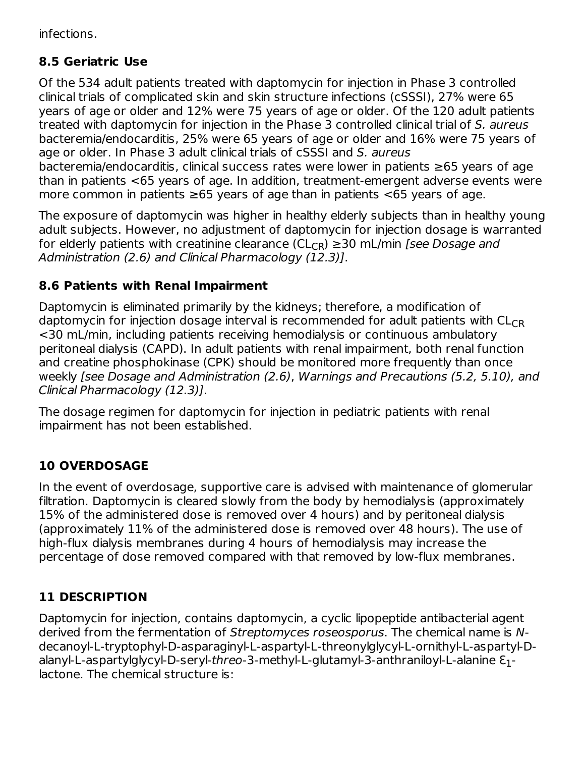infections.

### **8.5 Geriatric Use**

Of the 534 adult patients treated with daptomycin for injection in Phase 3 controlled clinical trials of complicated skin and skin structure infections (cSSSI), 27% were 65 years of age or older and 12% were 75 years of age or older. Of the 120 adult patients treated with daptomycin for injection in the Phase 3 controlled clinical trial of S. aureus bacteremia/endocarditis, 25% were 65 years of age or older and 16% were 75 years of age or older. In Phase 3 adult clinical trials of cSSSI and S. aureus bacteremia/endocarditis, clinical success rates were lower in patients ≥65 years of age than in patients <65 years of age. In addition, treatment-emergent adverse events were more common in patients  $\geq 65$  years of age than in patients  $\lt 65$  years of age.

The exposure of daptomycin was higher in healthy elderly subjects than in healthy young adult subjects. However, no adjustment of daptomycin for injection dosage is warranted for elderly patients with creatinine clearance (CL<sub>CR</sub>) ≥30 mL/min *[see Dosage and* Administration (2.6) and Clinical Pharmacology (12.3)].

### **8.6 Patients with Renal Impairment**

Daptomycin is eliminated primarily by the kidneys; therefore, a modification of daptomycin for injection dosage interval is recommended for adult patients with  $\mathsf{CL}_{\mathsf{CR}}$ <30 mL/min, including patients receiving hemodialysis or continuous ambulatory peritoneal dialysis (CAPD). In adult patients with renal impairment, both renal function and creatine phosphokinase (CPK) should be monitored more frequently than once weekly [see Dosage and Administration (2.6), Warnings and Precautions (5.2, 5.10), and Clinical Pharmacology (12.3)].

The dosage regimen for daptomycin for injection in pediatric patients with renal impairment has not been established.

### **10 OVERDOSAGE**

In the event of overdosage, supportive care is advised with maintenance of glomerular filtration. Daptomycin is cleared slowly from the body by hemodialysis (approximately 15% of the administered dose is removed over 4 hours) and by peritoneal dialysis (approximately 11% of the administered dose is removed over 48 hours). The use of high-flux dialysis membranes during 4 hours of hemodialysis may increase the percentage of dose removed compared with that removed by low-flux membranes.

### **11 DESCRIPTION**

Daptomycin for injection, contains daptomycin, a cyclic lipopeptide antibacterial agent derived from the fermentation of Streptomyces roseosporus. The chemical name is Ndecanoyl-L-tryptophyl-D-asparaginyl-L-aspartyl-L-threonylglycyl-L-ornithyl-L-aspartyl-Dalanyl-L-aspartylglycyl-D-seryl-threo-3-methyl-L-glutamyl-3-anthraniloyl-L-alanine Ɛ - 1lactone. The chemical structure is: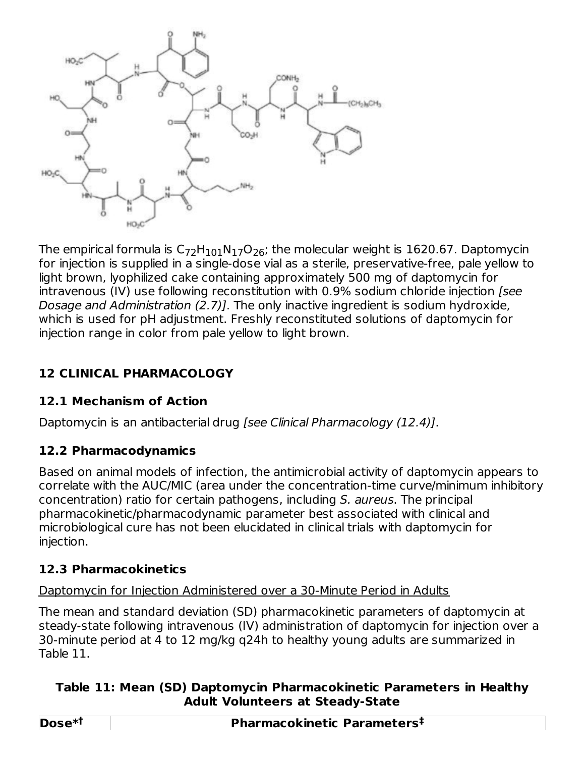

The empirical formula is  $\mathsf{C}_{72}\mathsf{H}_{101}\mathsf{N}_{17}\mathsf{O}_{26}$ ; the molecular weight is  $1620.67$ . Daptomycin for injection is supplied in a single-dose vial as a sterile, preservative-free, pale yellow to light brown, lyophilized cake containing approximately 500 mg of daptomycin for intravenous (IV) use following reconstitution with 0.9% sodium chloride injection [see Dosage and Administration (2.7)]. The only inactive ingredient is sodium hydroxide, which is used for pH adjustment. Freshly reconstituted solutions of daptomycin for injection range in color from pale yellow to light brown.

### **12 CLINICAL PHARMACOLOGY**

### **12.1 Mechanism of Action**

Daptomycin is an antibacterial drug *[see Clinical Pharmacology (12.4)]*.

### **12.2 Pharmacodynamics**

Based on animal models of infection, the antimicrobial activity of daptomycin appears to correlate with the AUC/MIC (area under the concentration-time curve/minimum inhibitory concentration) ratio for certain pathogens, including S. aureus. The principal pharmacokinetic/pharmacodynamic parameter best associated with clinical and microbiological cure has not been elucidated in clinical trials with daptomycin for injection.

### **12.3 Pharmacokinetics**

Daptomycin for Injection Administered over a 30-Minute Period in Adults

The mean and standard deviation (SD) pharmacokinetic parameters of daptomycin at steady-state following intravenous (IV) administration of daptomycin for injection over a 30-minute period at 4 to 12 mg/kg q24h to healthy young adults are summarized in Table 11.

### **Table 11: Mean (SD) Daptomycin Pharmacokinetic Parameters in Healthy Adult Volunteers at Steady-State**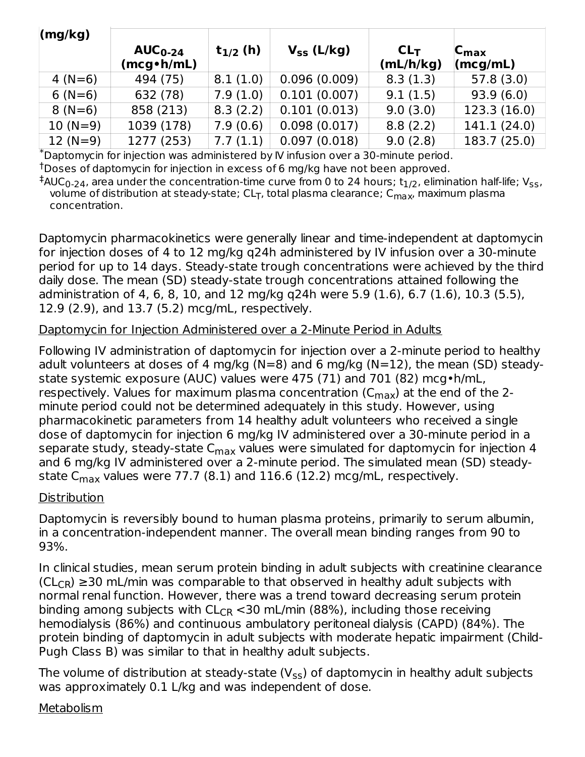| (mg/kg)   |                            |               |                 |                              |                                                         |
|-----------|----------------------------|---------------|-----------------|------------------------------|---------------------------------------------------------|
|           | $AUC_{0-24}$<br>(mcg•h/mL) | $t_{1/2}$ (h) | $V_{SS}$ (L/kg) | CL <sub>T</sub><br>(mL/h/kg) | $ C_{\text{max}} $<br>$\langle \textsf{mcg/mL} \rangle$ |
| 4 $(N=6)$ | 494 (75)                   | 8.1(1.0)      | 0.096(0.009)    | 8.3(1.3)                     | 57.8(3.0)                                               |
| $6(N=6)$  | 632 (78)                   | 7.9(1.0)      | 0.101(0.007)    | 9.1(1.5)                     | 93.9(6.0)                                               |
| $8(N=6)$  | 858 (213)                  | 8.3(2.2)      | 0.101(0.013)    | 9.0(3.0)                     | 123.3(16.0)                                             |
| $10(N=9)$ | 1039 (178)                 | 7.9(0.6)      | 0.098(0.017)    | 8.8(2.2)                     | 141.1 (24.0)                                            |
| $12(N=9)$ | 1277 (253)                 | 7.7(1.1)      | 0.097(0.018)    | 9.0(2.8)                     | 183.7 (25.0)                                            |

Daptomycin for injection was administered by IV infusion over a 30-minute period. \*  $^\dagger$ Doses of daptomycin for injection in excess of 6 mg/kg have not been approved.

AUC<sub>0-24</sub>, area under the concentration-time curve from 0 to 24 hours; t<sub>1/2</sub>, elimination half-life; V<sub>ss</sub>, volume of distribution at steady-state; CL<sub>T</sub>, total plasma clearance; C<sub>max</sub>, maximum plasma concentration.  $^{\ddagger}$ AUC<sub>0-24</sub>, area under the concentration-time curve from 0 to 24 hours; t $_{1/2}$ , elimination half-life; V<sub>ss</sub> <sub>T</sub>, total plasma clearance; C<sub>max</sub>,

Daptomycin pharmacokinetics were generally linear and time-independent at daptomycin for injection doses of 4 to 12 mg/kg q24h administered by IV infusion over a 30-minute period for up to 14 days. Steady-state trough concentrations were achieved by the third daily dose. The mean (SD) steady-state trough concentrations attained following the administration of 4, 6, 8, 10, and 12 mg/kg q24h were 5.9 (1.6), 6.7 (1.6), 10.3 (5.5), 12.9 (2.9), and 13.7 (5.2) mcg/mL, respectively.

#### Daptomycin for Injection Administered over a 2-Minute Period in Adults

Following IV administration of daptomycin for injection over a 2-minute period to healthy adult volunteers at doses of 4 mg/kg ( $N=8$ ) and 6 mg/kg ( $N=12$ ), the mean (SD) steadystate systemic exposure (AUC) values were 475 (71) and 701 (82) mcg•h/mL, respectively. Values for maximum plasma concentration (C<sub>max</sub>) at the end of the 2minute period could not be determined adequately in this study. However, using pharmacokinetic parameters from 14 healthy adult volunteers who received a single dose of daptomycin for injection 6 mg/kg IV administered over a 30-minute period in a separate study, steady-state C<sub>max</sub> values were simulated for daptomycin for injection 4 and 6 mg/kg IV administered over a 2-minute period. The simulated mean (SD) steadystate C $_{\sf max}$  values were 77.7 (8.1) and 116.6 (12.2) mcg/mL, respectively.

#### **Distribution**

Daptomycin is reversibly bound to human plasma proteins, primarily to serum albumin, in a concentration-independent manner. The overall mean binding ranges from 90 to 93%.

In clinical studies, mean serum protein binding in adult subjects with creatinine clearance ( $CL<sub>CR</sub>$ ) ≥30 mL/min was comparable to that observed in healthy adult subjects with normal renal function. However, there was a trend toward decreasing serum protein binding among subjects with  $\mathsf{CL_{CR}} \texttt{<}30$  mL/min (88%), including those receiving hemodialysis (86%) and continuous ambulatory peritoneal dialysis (CAPD) (84%). The protein binding of daptomycin in adult subjects with moderate hepatic impairment (Child-Pugh Class B) was similar to that in healthy adult subjects.

The volume of distribution at steady-state (V $_{\rm ss}$ ) of daptomycin in healthy adult subjects was approximately 0.1 L/kg and was independent of dose.

#### Metabolism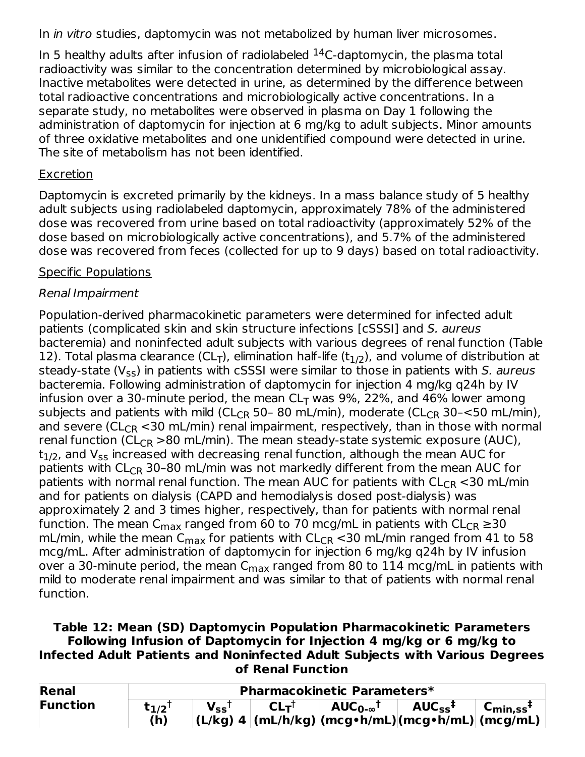In *in vitro* studies, daptomycin was not metabolized by human liver microsomes.

In 5 healthy adults after infusion of radiolabeled  $^{14}$ C-daptomycin, the plasma total radioactivity was similar to the concentration determined by microbiological assay. Inactive metabolites were detected in urine, as determined by the difference between total radioactive concentrations and microbiologically active concentrations. In a separate study, no metabolites were observed in plasma on Day 1 following the administration of daptomycin for injection at 6 mg/kg to adult subjects. Minor amounts of three oxidative metabolites and one unidentified compound were detected in urine. The site of metabolism has not been identified.

#### **Excretion**

Daptomycin is excreted primarily by the kidneys. In a mass balance study of 5 healthy adult subjects using radiolabeled daptomycin, approximately 78% of the administered dose was recovered from urine based on total radioactivity (approximately 52% of the dose based on microbiologically active concentrations), and 5.7% of the administered dose was recovered from feces (collected for up to 9 days) based on total radioactivity.

#### Specific Populations

### Renal Impairment

Population-derived pharmacokinetic parameters were determined for infected adult patients (complicated skin and skin structure infections [cSSSI] and S. aureus bacteremia) and noninfected adult subjects with various degrees of renal function (Table 12). Total plasma clearance (CL<sub>T</sub>), elimination half-life (t<sub>1/2</sub>), and volume of distribution at steady-state (V<sub>ss</sub>) in patients with cSSSI were similar to those in patients with *S. aureus* bacteremia. Following administration of daptomycin for injection 4 mg/kg q24h by IV infusion over a 30-minute period, the mean CL<sub>T</sub> was 9%, 22%, and 46% lower among subjects and patients with mild (CL<sub>CR</sub> 50- 80 mL/min), moderate (CL<sub>CR</sub> 30-<50 mL/min), and severe (CL<sub>CR</sub>  $<$ 30 mL/min) renal impairment, respectively, than in those with normal renal function (CL<sub>CR</sub> >80 mL/min). The mean steady-state systemic exposure (AUC),  $\mathsf{t}_{\mathsf{1/2}}$ , and  $\mathsf{V}_{\mathsf{ss}}$  increased with decreasing renal function, although the mean AUC for patients with CL<sub>CR</sub> 30–80 mL/min was not markedly different from the mean AUC for patients with normal renal function. The mean AUC for patients with  $\mathsf{CL_{CR}} \operatorname{<}30$  mL/min and for patients on dialysis (CAPD and hemodialysis dosed post-dialysis) was approximately 2 and 3 times higher, respectively, than for patients with normal renal function. The mean C<sub>max</sub> ranged from 60 to 70 mcg/mL in patients with CL<sub>CR</sub> ≥30 mL/min, while the mean  $\mathsf{C}_{\mathsf{max}}$  for patients with  $\mathsf{CL}_{\mathsf{CR}}$  <30 mL/min ranged from 41 to 58 mcg/mL. After administration of daptomycin for injection 6 mg/kg q24h by IV infusion over a 30-minute period, the mean  $\mathsf{C}_{\mathsf{max}}$  ranged from 80 to 114 mcg/mL in patients with mild to moderate renal impairment and was similar to that of patients with normal renal function.

#### **Table 12: Mean (SD) Daptomycin Population Pharmacokinetic Parameters Following Infusion of Daptomycin for Injection 4 mg/kg or 6 mg/kg to Infected Adult Patients and Noninfected Adult Subjects with Various Degrees of Renal Function**

| Renal           |           | <b>Pharmacokinetic Parameters*</b> |                 |                                                    |                         |                                  |  |  |  |
|-----------------|-----------|------------------------------------|-----------------|----------------------------------------------------|-------------------------|----------------------------------|--|--|--|
| <b>Function</b> | $t_{1/2}$ | $V_{ss}$                           | CL <sub>T</sub> | AUC $_{\mathbf{0}\text{-}\infty}$ t '              | $AUC_{ss}$ <sup>‡</sup> | $C_{\text{min.SS}}$ <sup>‡</sup> |  |  |  |
|                 | (h)       |                                    |                 | (L/kg) 4 (mL/h/kg) (mcg•h/mL) (mcg•h/mL)  (mcg/mL) |                         |                                  |  |  |  |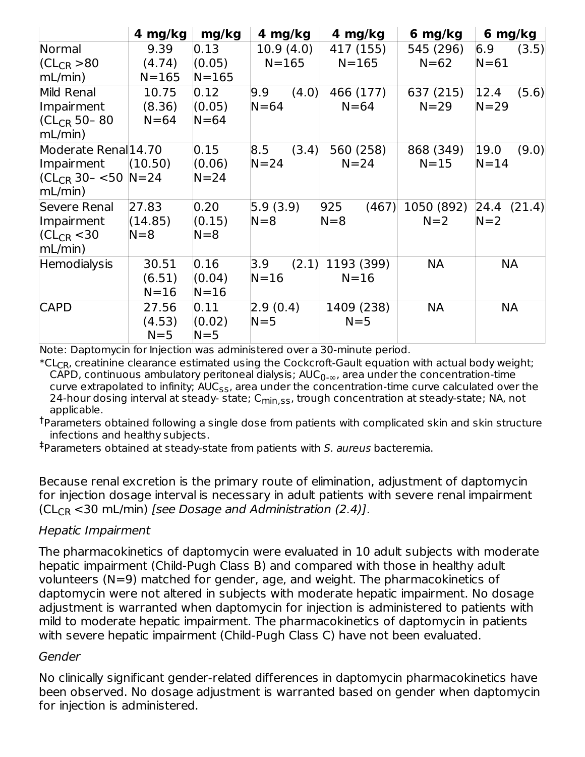|                                        | 4 mg/kg   | mg/kg     | 4 mg/kg      | 4 mg/kg      | 6 mg/kg    | 6 mg/kg        |
|----------------------------------------|-----------|-----------|--------------|--------------|------------|----------------|
| Normal                                 | 9.39      | 0.13      | 10.9(4.0)    | 417 (155)    | 545 (296)  | 6.9<br>(3.5)   |
| $ CL_{CR} > 80$                        | (4.74)    | (0.05)    | $N = 165$    | $N = 165$    | $N = 62$   | $N = 61$       |
| mL/min)                                | $N = 165$ | $N = 165$ |              |              |            |                |
| Mild Renal                             | 10.75     | 0.12      | 9.9<br>(4.0) | 466 (177)    | 637 (215)  | 12.4<br>(5.6)  |
| Impairment                             | (8.36)    | (0.05)    | $N = 64$     | $N = 64$     | $N = 29$   | $N = 29$       |
| $ CL_{CR}$ 50-80<br>mL/min)            | $N = 64$  | $N = 64$  |              |              |            |                |
| Moderate Renal 14.70                   |           | 0.15      | 8.5<br>(3.4) | 560 (258)    | 868 (349)  | 19.0<br>(9.0)  |
| Impairment                             | (10.50)   | (0.06)    | $N = 24$     | $N = 24$     | $N = 15$   | $N = 14$       |
| $ CL_{CR}$ 30 - <50 $ N=24$<br>mL/min) |           | $N = 24$  |              |              |            |                |
| Severe Renal                           | 27.83     | 0.20      | 5.9(3.9)     | 925<br>(467) | 1050 (892) | 24.4<br>(21.4) |
| Impairment                             | (14.85)   | (0.15)    | $N=8$        | $N=8$        | $N=2$      | $N=2$          |
| $ CL_{CR}$ < 30<br>mL/min)             | $N=8$     | $N = 8$   |              |              |            |                |
| Hemodialysis                           | 30.51     | 0.16      | 3.9<br>(2.1) | 1193 (399)   | <b>NA</b>  | NА             |
|                                        | (6.51)    | (0.04)    | $N = 16$     | $N = 16$     |            |                |
|                                        | $N = 16$  | $N = 16$  |              |              |            |                |
| <b>CAPD</b>                            | 27.56     | 0.11      | 2.9(0.4)     | 1409 (238)   | <b>NA</b>  | NА             |
|                                        | (4.53)    | (0.02)    | $N = 5$      | $N = 5$      |            |                |
|                                        | $N = 5$   | $N = 5$   |              |              |            |                |

Note: Daptomycin for Injection was administered over a 30-minute period.

 $^\ast$ CL $_{\mathrm{CR}}$ , creatinine clearance estimated using the Cockcroft-Gault equation with actual body weight; CAPD, continuous ambulatory peritoneal dialysis;  $\mathsf{AUC}_{0\text{-}\infty}$ , area under the concentration-time curve extrapolated to infinity;  $\mathsf{AUC}_{\mathsf{SS}}$ , area under the concentration-time curve calculated over the 24-hour dosing interval at steady- state; C<sub>min,ss</sub>, trough concentration at steady-state; NA, not applicable.

 $^\dagger$ Parameters obtained following a single dose from patients with complicated skin and skin structure infections and healthy subjects.

‡Parameters obtained at steady-state from patients with S. au*reus* bacteremia.

Because renal excretion is the primary route of elimination, adjustment of daptomycin for injection dosage interval is necessary in adult patients with severe renal impairment ( $CL_{CR}$  <30 mL/min) [see Dosage and Administration (2.4)].

#### Hepatic Impairment

The pharmacokinetics of daptomycin were evaluated in 10 adult subjects with moderate hepatic impairment (Child-Pugh Class B) and compared with those in healthy adult volunteers (N=9) matched for gender, age, and weight. The pharmacokinetics of daptomycin were not altered in subjects with moderate hepatic impairment. No dosage adjustment is warranted when daptomycin for injection is administered to patients with mild to moderate hepatic impairment. The pharmacokinetics of daptomycin in patients with severe hepatic impairment (Child-Pugh Class C) have not been evaluated.

#### Gender

No clinically significant gender-related differences in daptomycin pharmacokinetics have been observed. No dosage adjustment is warranted based on gender when daptomycin for injection is administered.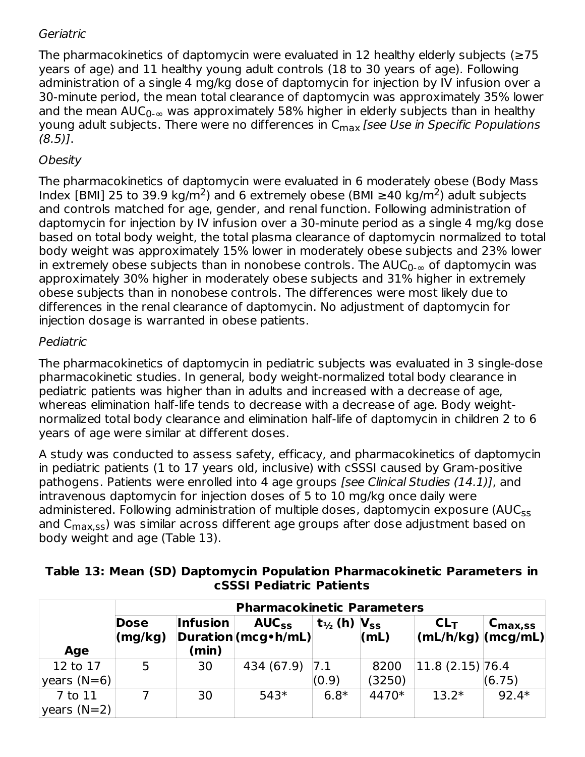#### **Geriatric**

The pharmacokinetics of daptomycin were evaluated in 12 healthy elderly subjects ( $\geq$ 75 years of age) and 11 healthy young adult controls (18 to 30 years of age). Following administration of a single 4 mg/kg dose of daptomycin for injection by IV infusion over a 30-minute period, the mean total clearance of daptomycin was approximately 35% lower and the mean AUC $_{0\text{-}\infty}$  was approximately 58% higher in elderly subjects than in healthy young adult subjects. There were no differences in C<sub>max</sub> [*see Use in Specific Populations*  $(8.5)$ ].

### **Obesity**

The pharmacokinetics of daptomycin were evaluated in 6 moderately obese (Body Mass Index [BMI] 25 to 39.9 kg/m<sup>2</sup>) and 6 extremely obese (BMI  $\geq$ 40 kg/m<sup>2</sup>) adult subjects and controls matched for age, gender, and renal function. Following administration of daptomycin for injection by IV infusion over a 30-minute period as a single 4 mg/kg dose based on total body weight, the total plasma clearance of daptomycin normalized to total body weight was approximately 15% lower in moderately obese subjects and 23% lower in extremely obese subjects than in nonobese controls. The  $\mathsf{AUC}_{0\text{-}\infty}$  of daptomycin was approximately 30% higher in moderately obese subjects and 31% higher in extremely obese subjects than in nonobese controls. The differences were most likely due to differences in the renal clearance of daptomycin. No adjustment of daptomycin for injection dosage is warranted in obese patients.

#### Pediatric

The pharmacokinetics of daptomycin in pediatric subjects was evaluated in 3 single-dose pharmacokinetic studies. In general, body weight-normalized total body clearance in pediatric patients was higher than in adults and increased with a decrease of age, whereas elimination half-life tends to decrease with a decrease of age. Body weightnormalized total body clearance and elimination half-life of daptomycin in children 2 to 6 years of age were similar at different doses.

A study was conducted to assess safety, efficacy, and pharmacokinetics of daptomycin in pediatric patients (1 to 17 years old, inclusive) with cSSSI caused by Gram-positive pathogens. Patients were enrolled into 4 age groups [see Clinical Studies (14.1)], and intravenous daptomycin for injection doses of 5 to 10 mg/kg once daily were administered. Following administration of multiple doses, daptomycin exposure (AUC<sub>ss</sub> and C<sub>max,ss</sub>) was similar across different age groups after dose adjustment based on body weight and age (Table 13).

|                             | <b>Pharmacokinetic Parameters</b> |                          |                                     |                                                           |                |                                                                                                              |                     |  |
|-----------------------------|-----------------------------------|--------------------------|-------------------------------------|-----------------------------------------------------------|----------------|--------------------------------------------------------------------------------------------------------------|---------------------|--|
| Age                         | <b>Dose</b><br>(mg/kg)            | <b>Infusion</b><br>(min) | $AUC_{SS}$<br>Duration (mcg · h/mL) | $\mathbf{t}_{\frac{1}{2}}$ (h) $\mathbf{V}_{\mathbf{SS}}$ | (mL)           | CL <sub>T</sub><br>$ \left(\mathsf{mL}/\mathsf{h}/\mathsf{kg}\right) \left(\mathsf{mcg}/\mathsf{mL}\right) $ | $C_{\text{max,SS}}$ |  |
| 12 to 17<br>$ years (N=6) $ |                                   | 30                       | 434 (67.9)                          | 7.1<br>(0.9)                                              | 8200<br>(3250) | 11.8(2.15) 76.4                                                                                              | (6.75)              |  |
| 7 to 11<br>$ years (N=2) $  |                                   | 30                       | $543*$                              | $6.8*$                                                    | 4470*          | $13.2*$                                                                                                      | $92.4*$             |  |

#### **Table 13: Mean (SD) Daptomycin Population Pharmacokinetic Parameters in cSSSI Pediatric Patients**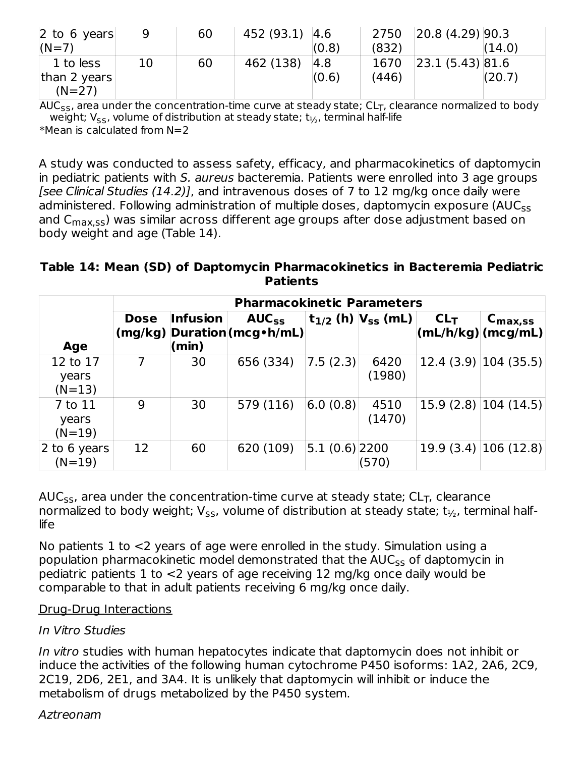| $\vert$ 2 to 6 years | q  | 60 | 452 (93.1) 4.6 |       | 2750  | 20.8(4.29) 90.3 |        |
|----------------------|----|----|----------------|-------|-------|-----------------|--------|
| $(N=7)$              |    |    |                | (0.8) | (832) |                 | (14.0) |
| 1 to less            | 10 | 60 | 462 (138)      | 4.8   | 1670  | 23.1(5.43) 81.6 |        |
| than 2 years         |    |    |                | (0.6) | (446) |                 | (20.7) |
| $(N=27)$             |    |    |                |       |       |                 |        |

AUC<sub>ss</sub>, area under the concentration-time curve at steady state; CL<sub>T</sub>, clearance normalized to body weight; V<sub>ss</sub>, volume of distribution at steady state;  $\mathrm{t}_{\mathrm{i}_2}$ , terminal half-life  $*$ Mean is calculated from N=2

A study was conducted to assess safety, efficacy, and pharmacokinetics of daptomycin in pediatric patients with S. aureus bacteremia. Patients were enrolled into 3 age groups [see Clinical Studies (14.2)], and intravenous doses of 7 to 12 mg/kg once daily were administered. Following administration of multiple doses, daptomycin exposure (AUC<sub>ss</sub> and C<sub>max,ss</sub>) was similar across different age groups after dose adjustment based on body weight and age (Table 14).

#### **Table 14: Mean (SD) of Daptomycin Pharmacokinetics in Bacteremia Pediatric Patients**

|                               | <b>Pharmacokinetic Parameters</b> |                          |                                             |                 |                                  |                 |                                                                        |  |
|-------------------------------|-----------------------------------|--------------------------|---------------------------------------------|-----------------|----------------------------------|-----------------|------------------------------------------------------------------------|--|
| Age                           | <b>Dose</b>                       | <b>Infusion</b><br>(min) | $AUC_{SS}$<br>(mg/kg) Duration (mcg · h/mL) |                 | $t_{1/2}$ (h) $ V_{SS}$ (mL) $ $ | CL <sub>T</sub> | $C_{\text{max,SS}}$<br>$ \mathsf{mL}/\mathsf{h}/\mathsf{kg} $ (mcg/mL) |  |
| 12 to 17<br>years<br>$(N=13)$ | 7                                 | 30                       | 656 (334)                                   | 7.5(2.3)        | 6420<br>(1980)                   |                 | $12.4(3.9)$ 104 (35.5)                                                 |  |
| 7 to 11<br>years<br>$(N=19)$  | 9                                 | 30                       | 579 (116)                                   | 6.0(0.8)        | 4510<br>(1470)                   |                 | $15.9(2.8)$ $ 104(14.5)$                                               |  |
| 2 to 6 years<br>$(N=19)$      | 12                                | 60                       | 620 (109)                                   | $5.1(0.6)$ 2200 | (570)                            |                 | $19.9(3.4)$ 106 (12.8)                                                 |  |

AUC $_\mathsf{ss}$ , area under the concentration-time curve at steady state; CL $_\mathsf{T}$ , clearance normalized to body weight; V<sub>ss</sub>, volume of distribution at steady state; t $_{\rm 1/_{\rm 2}}$ , terminal halflife

No patients 1 to <2 years of age were enrolled in the study. Simulation using a population pharmacokinetic model demonstrated that the  $\mathsf{AUC}_{\mathsf{SS}}$  of daptomycin in pediatric patients 1 to <2 years of age receiving 12 mg/kg once daily would be comparable to that in adult patients receiving 6 mg/kg once daily.

#### Drug-Drug Interactions

#### In Vitro Studies

In vitro studies with human hepatocytes indicate that daptomycin does not inhibit or induce the activities of the following human cytochrome P450 isoforms: 1A2, 2A6, 2C9, 2C19, 2D6, 2E1, and 3A4. It is unlikely that daptomycin will inhibit or induce the metabolism of drugs metabolized by the P450 system.

#### Aztreonam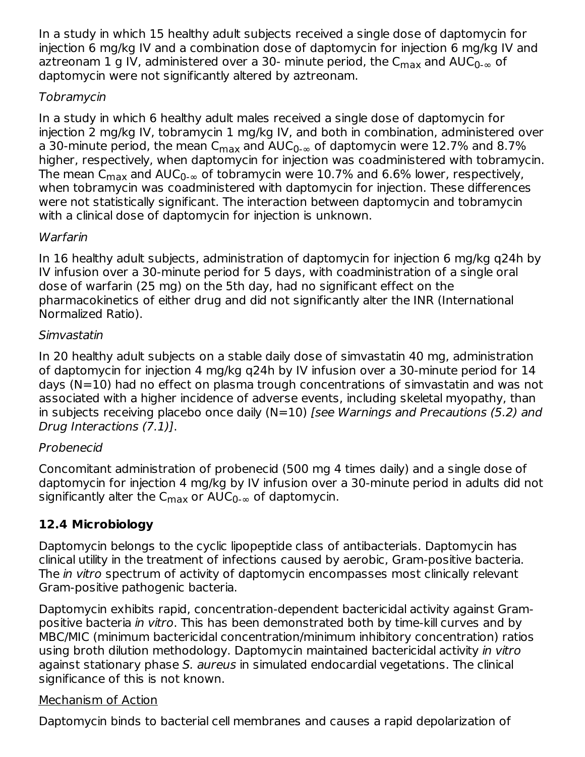In a study in which 15 healthy adult subjects received a single dose of daptomycin for injection 6 mg/kg IV and a combination dose of daptomycin for injection 6 mg/kg IV and aztreonam 1 g IV, administered over a 30- minute period, the C $_{\sf max}$  and AUC $_{\sf 0\text{-}\infty}$  of daptomycin were not significantly altered by aztreonam.

### Tobramycin

In a study in which 6 healthy adult males received a single dose of daptomycin for injection 2 mg/kg IV, tobramycin 1 mg/kg IV, and both in combination, administered over a 30-minute period, the mean C<sub>max</sub> and AUC<sub>0-∞</sub> of daptomycin were 12.7% and 8.7% higher, respectively, when daptomycin for injection was coadministered with tobramycin. The mean C $_{\sf max}$  and AUC $_{\sf 0\text{-}\infty}$  of tobramycin were  $10.7\%$  and  $6.6\%$  lower, respectively, when tobramycin was coadministered with daptomycin for injection. These differences were not statistically significant. The interaction between daptomycin and tobramycin with a clinical dose of daptomycin for injection is unknown.

### **Warfarin**

In 16 healthy adult subjects, administration of daptomycin for injection 6 mg/kg q24h by IV infusion over a 30-minute period for 5 days, with coadministration of a single oral dose of warfarin (25 mg) on the 5th day, had no significant effect on the pharmacokinetics of either drug and did not significantly alter the INR (International Normalized Ratio).

#### Simvastatin

In 20 healthy adult subjects on a stable daily dose of simvastatin 40 mg, administration of daptomycin for injection 4 mg/kg q24h by IV infusion over a 30-minute period for 14 days (N=10) had no effect on plasma trough concentrations of simvastatin and was not associated with a higher incidence of adverse events, including skeletal myopathy, than in subjects receiving placebo once daily  $(N=10)$  [see Warnings and Precautions (5.2) and Drug Interactions (7.1)].

### Probenecid

Concomitant administration of probenecid (500 mg 4 times daily) and a single dose of daptomycin for injection 4 mg/kg by IV infusion over a 30-minute period in adults did not significantly alter the C $_{\sf max}$  or AUC $_{\sf 0\text{-}\infty}$  of daptomycin.

### **12.4 Microbiology**

Daptomycin belongs to the cyclic lipopeptide class of antibacterials. Daptomycin has clinical utility in the treatment of infections caused by aerobic, Gram-positive bacteria. The *in vitro* spectrum of activity of daptomycin encompasses most clinically relevant Gram-positive pathogenic bacteria.

Daptomycin exhibits rapid, concentration-dependent bactericidal activity against Grampositive bacteria in vitro. This has been demonstrated both by time-kill curves and by MBC/MIC (minimum bactericidal concentration/minimum inhibitory concentration) ratios using broth dilution methodology. Daptomycin maintained bactericidal activity in vitro against stationary phase S. aureus in simulated endocardial vegetations. The clinical significance of this is not known.

#### Mechanism of Action

Daptomycin binds to bacterial cell membranes and causes a rapid depolarization of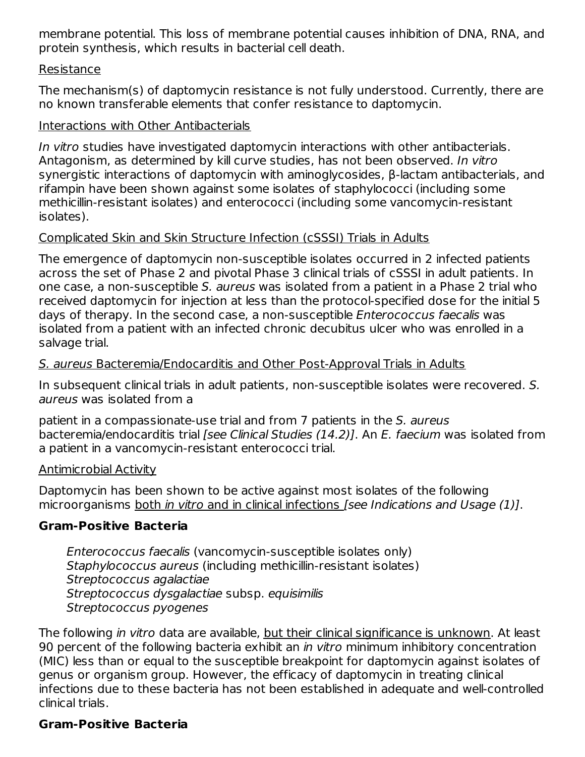membrane potential. This loss of membrane potential causes inhibition of DNA, RNA, and protein synthesis, which results in bacterial cell death.

#### Resistance

The mechanism(s) of daptomycin resistance is not fully understood. Currently, there are no known transferable elements that confer resistance to daptomycin.

#### Interactions with Other Antibacterials

In vitro studies have investigated daptomycin interactions with other antibacterials. Antagonism, as determined by kill curve studies, has not been observed. In vitro synergistic interactions of daptomycin with aminoglycosides, β-lactam antibacterials, and rifampin have been shown against some isolates of staphylococci (including some methicillin-resistant isolates) and enterococci (including some vancomycin-resistant isolates).

#### Complicated Skin and Skin Structure Infection (cSSSI) Trials in Adults

The emergence of daptomycin non-susceptible isolates occurred in 2 infected patients across the set of Phase 2 and pivotal Phase 3 clinical trials of cSSSI in adult patients. In one case, a non-susceptible S. aureus was isolated from a patient in a Phase 2 trial who received daptomycin for injection at less than the protocol-specified dose for the initial 5 days of therapy. In the second case, a non-susceptible Enterococcus faecalis was isolated from a patient with an infected chronic decubitus ulcer who was enrolled in a salvage trial.

#### S. aureus Bacteremia/Endocarditis and Other Post-Approval Trials in Adults

In subsequent clinical trials in adult patients, non-susceptible isolates were recovered. S. aureus was isolated from a

patient in a compassionate-use trial and from 7 patients in the S. aureus bacteremia/endocarditis trial [see Clinical Studies (14.2)]. An E. faecium was isolated from a patient in a vancomycin-resistant enterococci trial.

#### Antimicrobial Activity

Daptomycin has been shown to be active against most isolates of the following microorganisms both in vitro and in clinical infections [see Indications and Usage (1)].

#### **Gram-Positive Bacteria**

Enterococcus faecalis (vancomycin-susceptible isolates only) Staphylococcus aureus (including methicillin-resistant isolates) Streptococcus agalactiae Streptococcus dysgalactiae subsp. equisimilis Streptococcus pyogenes

The following *in vitro* data are available, but their clinical significance is unknown. At least 90 percent of the following bacteria exhibit an *in vitro* minimum inhibitory concentration (MIC) less than or equal to the susceptible breakpoint for daptomycin against isolates of genus or organism group. However, the efficacy of daptomycin in treating clinical infections due to these bacteria has not been established in adequate and well-controlled clinical trials.

#### **Gram-Positive Bacteria**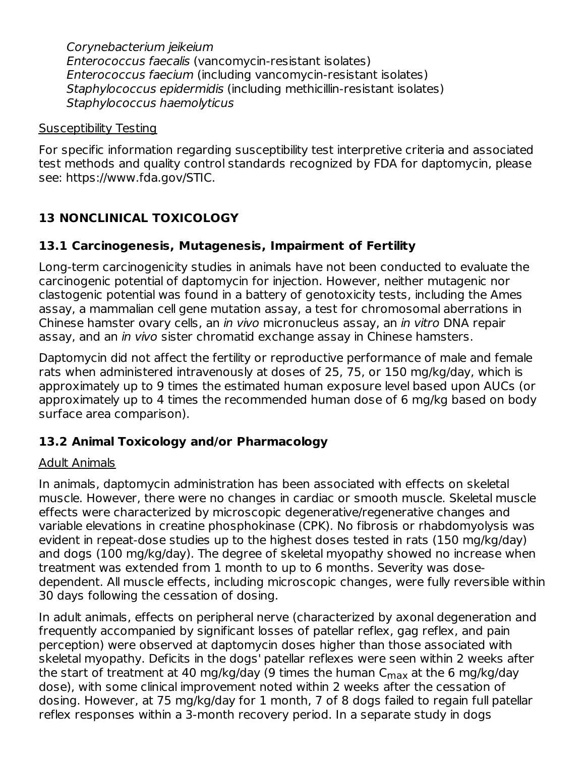Corynebacterium jeikeium Enterococcus faecalis (vancomycin-resistant isolates) Enterococcus faecium (including vancomycin-resistant isolates) Staphylococcus epidermidis (including methicillin-resistant isolates) Staphylococcus haemolyticus

#### Susceptibility Testing

For specific information regarding susceptibility test interpretive criteria and associated test methods and quality control standards recognized by FDA for daptomycin, please see: https://www.fda.gov/STIC.

### **13 NONCLINICAL TOXICOLOGY**

### **13.1 Carcinogenesis, Mutagenesis, Impairment of Fertility**

Long-term carcinogenicity studies in animals have not been conducted to evaluate the carcinogenic potential of daptomycin for injection. However, neither mutagenic nor clastogenic potential was found in a battery of genotoxicity tests, including the Ames assay, a mammalian cell gene mutation assay, a test for chromosomal aberrations in Chinese hamster ovary cells, an in vivo micronucleus assay, an in vitro DNA repair assay, and an in vivo sister chromatid exchange assay in Chinese hamsters.

Daptomycin did not affect the fertility or reproductive performance of male and female rats when administered intravenously at doses of 25, 75, or 150 mg/kg/day, which is approximately up to 9 times the estimated human exposure level based upon AUCs (or approximately up to 4 times the recommended human dose of 6 mg/kg based on body surface area comparison).

### **13.2 Animal Toxicology and/or Pharmacology**

#### Adult Animals

In animals, daptomycin administration has been associated with effects on skeletal muscle. However, there were no changes in cardiac or smooth muscle. Skeletal muscle effects were characterized by microscopic degenerative/regenerative changes and variable elevations in creatine phosphokinase (CPK). No fibrosis or rhabdomyolysis was evident in repeat-dose studies up to the highest doses tested in rats (150 mg/kg/day) and dogs (100 mg/kg/day). The degree of skeletal myopathy showed no increase when treatment was extended from 1 month to up to 6 months. Severity was dosedependent. All muscle effects, including microscopic changes, were fully reversible within 30 days following the cessation of dosing.

In adult animals, effects on peripheral nerve (characterized by axonal degeneration and frequently accompanied by significant losses of patellar reflex, gag reflex, and pain perception) were observed at daptomycin doses higher than those associated with skeletal myopathy. Deficits in the dogs' patellar reflexes were seen within 2 weeks after the start of treatment at 40 mg/kg/day (9 times the human C<sub>max</sub> at the 6 mg/kg/day dose), with some clinical improvement noted within 2 weeks after the cessation of dosing. However, at 75 mg/kg/day for 1 month, 7 of 8 dogs failed to regain full patellar reflex responses within a 3-month recovery period. In a separate study in dogs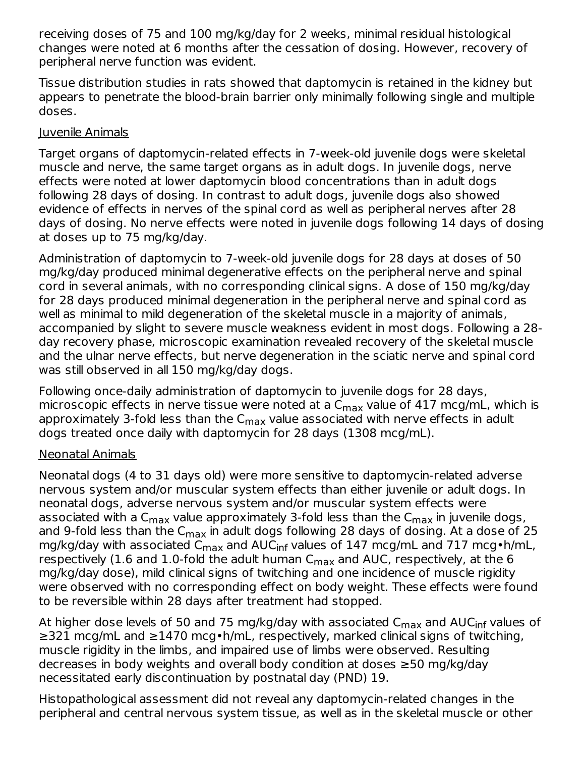receiving doses of 75 and 100 mg/kg/day for 2 weeks, minimal residual histological changes were noted at 6 months after the cessation of dosing. However, recovery of peripheral nerve function was evident.

Tissue distribution studies in rats showed that daptomycin is retained in the kidney but appears to penetrate the blood-brain barrier only minimally following single and multiple doses.

#### Juvenile Animals

Target organs of daptomycin-related effects in 7-week-old juvenile dogs were skeletal muscle and nerve, the same target organs as in adult dogs. In juvenile dogs, nerve effects were noted at lower daptomycin blood concentrations than in adult dogs following 28 days of dosing. In contrast to adult dogs, juvenile dogs also showed evidence of effects in nerves of the spinal cord as well as peripheral nerves after 28 days of dosing. No nerve effects were noted in juvenile dogs following 14 days of dosing at doses up to 75 mg/kg/day.

Administration of daptomycin to 7-week-old juvenile dogs for 28 days at doses of 50 mg/kg/day produced minimal degenerative effects on the peripheral nerve and spinal cord in several animals, with no corresponding clinical signs. A dose of 150 mg/kg/day for 28 days produced minimal degeneration in the peripheral nerve and spinal cord as well as minimal to mild degeneration of the skeletal muscle in a majority of animals, accompanied by slight to severe muscle weakness evident in most dogs. Following a 28 day recovery phase, microscopic examination revealed recovery of the skeletal muscle and the ulnar nerve effects, but nerve degeneration in the sciatic nerve and spinal cord was still observed in all 150 mg/kg/day dogs.

Following once-daily administration of daptomycin to juvenile dogs for 28 days, microscopic effects in nerve tissue were noted at a C $_{\sf max}$  value of 417 mcg/mL, which is approximately 3-fold less than the C $_{\sf max}$  value associated with nerve effects in adult dogs treated once daily with daptomycin for 28 days (1308 mcg/mL).

### Neonatal Animals

Neonatal dogs (4 to 31 days old) were more sensitive to daptomycin-related adverse nervous system and/or muscular system effects than either juvenile or adult dogs. In neonatal dogs, adverse nervous system and/or muscular system effects were associated with a C $_{\sf max}$  value approximately 3-fold less than the C $_{\sf max}$  in juvenile dogs, and 9-fold less than the C $_{\sf max}$  in adult dogs following 28 days of dosing. At a dose of 25 mg/kg/day with associated C<sub>max</sub> and AUC<sub>inf</sub> values of 147 mcg/mL and 717 mcg•h/mL, respectively (1.6 and 1.0-fold the adult human  ${\sf C}_{\sf max}$  and AUC, respectively, at the 6 mg/kg/day dose), mild clinical signs of twitching and one incidence of muscle rigidity were observed with no corresponding effect on body weight. These effects were found to be reversible within 28 days after treatment had stopped.

At higher dose levels of 50 and 75 mg/kg/day with associated C<sub>max</sub> and AUC<sub>inf</sub> values of ≥321 mcg/mL and ≥1470 mcg•h/mL, respectively, marked clinical signs of twitching, muscle rigidity in the limbs, and impaired use of limbs were observed. Resulting decreases in body weights and overall body condition at doses ≥50 mg/kg/day necessitated early discontinuation by postnatal day (PND) 19.

Histopathological assessment did not reveal any daptomycin-related changes in the peripheral and central nervous system tissue, as well as in the skeletal muscle or other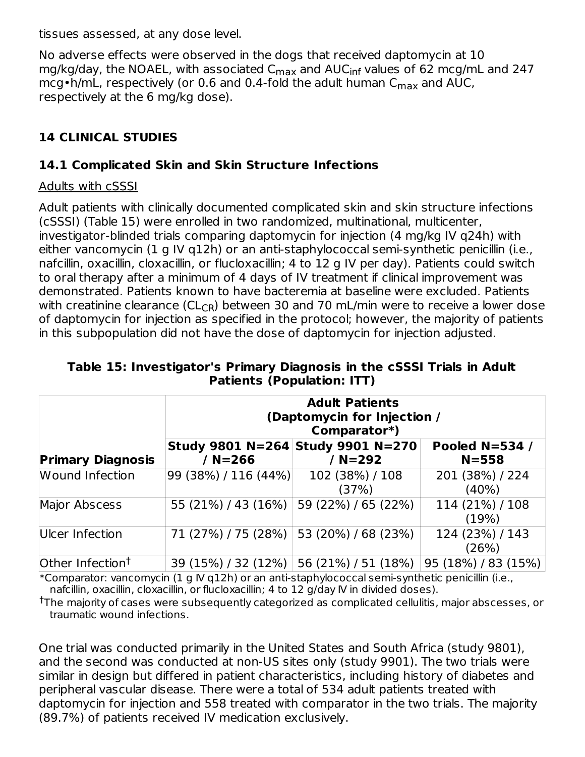tissues assessed, at any dose level.

No adverse effects were observed in the dogs that received daptomycin at 10 mg/kg/day, the NOAEL, with associated C<sub>max</sub> and AUC<sub>inf</sub> values of 62 mcg/mL and 247 mcg•h/mL, respectively (or 0.6 and 0.4-fold the adult human  $\mathsf{C}_{\mathsf{max}}$  and AUC, respectively at the 6 mg/kg dose).

### **14 CLINICAL STUDIES**

#### **14.1 Complicated Skin and Skin Structure Infections**

#### Adults with cSSSI

Adult patients with clinically documented complicated skin and skin structure infections (cSSSI) (Table 15) were enrolled in two randomized, multinational, multicenter, investigator-blinded trials comparing daptomycin for injection (4 mg/kg IV q24h) with either vancomycin (1 g IV q12h) or an anti-staphylococcal semi-synthetic penicillin (i.e., nafcillin, oxacillin, cloxacillin, or flucloxacillin; 4 to 12 g IV per day). Patients could switch to oral therapy after a minimum of 4 days of IV treatment if clinical improvement was demonstrated. Patients known to have bacteremia at baseline were excluded. Patients with creatinine clearance (CL<sub>CR</sub>) between 30 and 70 mL/min were to receive a lower dose of daptomycin for injection as specified in the protocol; however, the majority of patients in this subpopulation did not have the dose of daptomycin for injection adjusted.

|                              | <b>Adult Patients</b><br>(Daptomycin for Injection /<br>Comparator*) |                                   |                             |  |  |  |  |  |  |
|------------------------------|----------------------------------------------------------------------|-----------------------------------|-----------------------------|--|--|--|--|--|--|
|                              |                                                                      | Study 9801 N=264 Study 9901 N=270 | <b>Pooled N=534 /</b>       |  |  |  |  |  |  |
| <b>Primary Diagnosis</b>     | / $N = 266$                                                          | / N=292                           | $N = 558$                   |  |  |  |  |  |  |
| <b>Wound Infection</b>       | 99 (38%) / 116 (44%)                                                 | 102 (38%) / 108<br>(37%)          | 201 (38%) / 224<br>$(40\%)$ |  |  |  |  |  |  |
| <b>Major Abscess</b>         | 55 (21%) / 43 (16%)                                                  | 59 (22%) / 65 (22%)               | 114 (21%) / 108<br>(19%)    |  |  |  |  |  |  |
| Ulcer Infection              | 71 (27%) / 75 (28%)                                                  | 53 (20%) / 68 (23%)               | 124 (23%) / 143<br>(26%)    |  |  |  |  |  |  |
| Other Infection <sup>t</sup> | 39 (15%) / 32 (12%)                                                  | 56 (21%) / 51 (18%)               | 95 (18%) / 83 (15%)         |  |  |  |  |  |  |

**Table 15: Investigator's Primary Diagnosis in the cSSSI Trials in Adult Patients (Population: ITT)**

 $*$ Comparator: vancomycin (1 g IV g12h) or an anti-staphylococcal semi-synthetic penicillin (i.e., nafcillin, oxacillin, cloxacillin, or flucloxacillin; 4 to 12 g/day IV in divided doses).

 $^\dagger$ The majority of cases were subsequently categorized as complicated cellulitis, major abscesses, or traumatic wound infections.

One trial was conducted primarily in the United States and South Africa (study 9801), and the second was conducted at non-US sites only (study 9901). The two trials were similar in design but differed in patient characteristics, including history of diabetes and peripheral vascular disease. There were a total of 534 adult patients treated with daptomycin for injection and 558 treated with comparator in the two trials. The majority (89.7%) of patients received IV medication exclusively.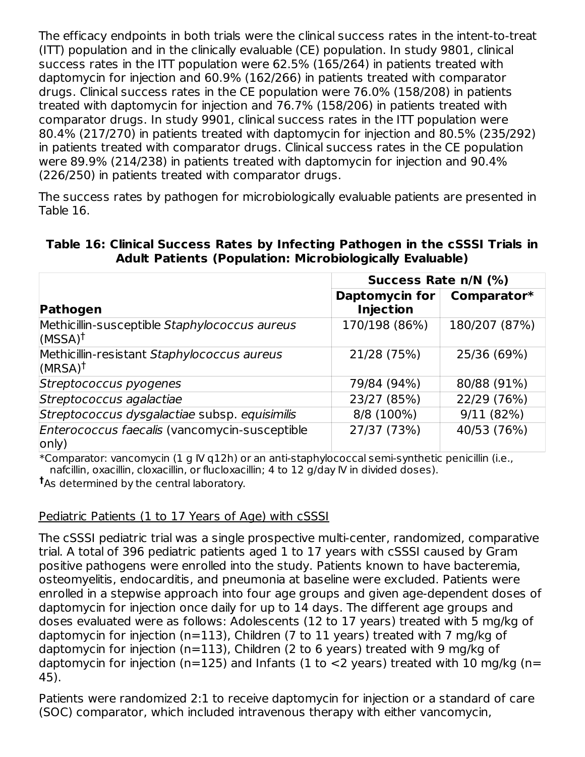The efficacy endpoints in both trials were the clinical success rates in the intent-to-treat (ITT) population and in the clinically evaluable (CE) population. In study 9801, clinical success rates in the ITT population were 62.5% (165/264) in patients treated with daptomycin for injection and 60.9% (162/266) in patients treated with comparator drugs. Clinical success rates in the CE population were 76.0% (158/208) in patients treated with daptomycin for injection and 76.7% (158/206) in patients treated with comparator drugs. In study 9901, clinical success rates in the ITT population were 80.4% (217/270) in patients treated with daptomycin for injection and 80.5% (235/292) in patients treated with comparator drugs. Clinical success rates in the CE population were 89.9% (214/238) in patients treated with daptomycin for injection and 90.4% (226/250) in patients treated with comparator drugs.

The success rates by pathogen for microbiologically evaluable patients are presented in Table 16.

|                                                                     | Success Rate n/N (%)               |               |  |  |  |
|---------------------------------------------------------------------|------------------------------------|---------------|--|--|--|
| Pathogen                                                            | Daptomycin for<br><b>Injection</b> | Comparator*   |  |  |  |
| Methicillin-susceptible Staphylococcus aureus<br>$(MSSA)^{\dagger}$ | 170/198 (86%)                      | 180/207 (87%) |  |  |  |
| Methicillin-resistant Staphylococcus aureus<br>(MRSA) <sup>†</sup>  | 21/28 (75%)                        | 25/36 (69%)   |  |  |  |
| Streptococcus pyogenes                                              | 79/84 (94%)                        | 80/88 (91%)   |  |  |  |
| Streptococcus agalactiae                                            | 23/27 (85%)                        | 22/29 (76%)   |  |  |  |
| Streptococcus dysgalactiae subsp. equisimilis                       | 8/8 (100%)                         | 9/11 (82%)    |  |  |  |
| Enterococcus faecalis (vancomycin-susceptible<br>only)              | 27/37 (73%)                        | 40/53 (76%)   |  |  |  |

#### **Table 16: Clinical Success Rates by Infecting Pathogen in the cSSSI Trials in Adult Patients (Population: Microbiologically Evaluable)**

\*Comparator: vancomycin (1 g IV q12h) or an anti-staphylococcal semi-synthetic penicillin (i.e., nafcillin, oxacillin, cloxacillin, or flucloxacillin; 4 to 12 g/day IV in divided doses). As determined by the central laboratory. **†**

#### Pediatric Patients (1 to 17 Years of Age) with cSSSI

The cSSSI pediatric trial was a single prospective multi-center, randomized, comparative trial. A total of 396 pediatric patients aged 1 to 17 years with cSSSI caused by Gram positive pathogens were enrolled into the study. Patients known to have bacteremia, osteomyelitis, endocarditis, and pneumonia at baseline were excluded. Patients were enrolled in a stepwise approach into four age groups and given age-dependent doses of daptomycin for injection once daily for up to 14 days. The different age groups and doses evaluated were as follows: Adolescents (12 to 17 years) treated with 5 mg/kg of daptomycin for injection (n=113), Children (7 to 11 years) treated with 7 mg/kg of daptomycin for injection (n=113), Children (2 to 6 years) treated with 9 mg/kg of daptomycin for injection (n=125) and Infants (1 to  $\lt 2$  years) treated with 10 mg/kg (n= 45).

Patients were randomized 2:1 to receive daptomycin for injection or a standard of care (SOC) comparator, which included intravenous therapy with either vancomycin,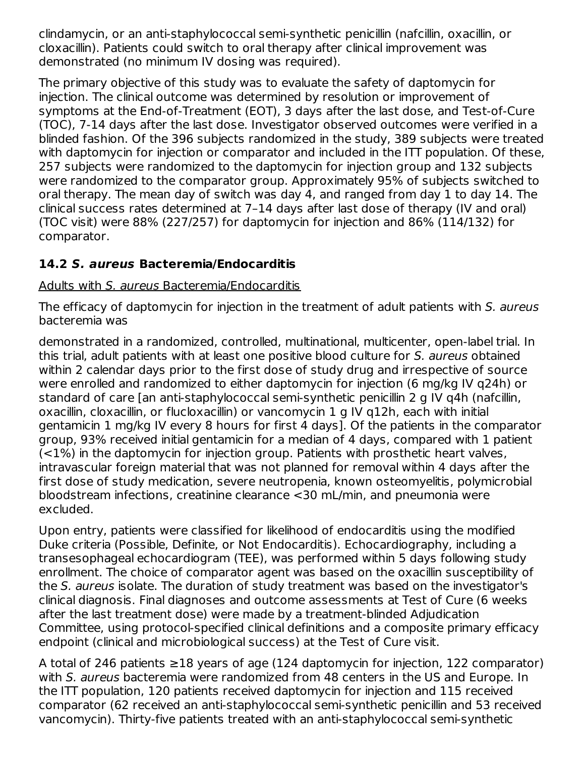clindamycin, or an anti-staphylococcal semi-synthetic penicillin (nafcillin, oxacillin, or cloxacillin). Patients could switch to oral therapy after clinical improvement was demonstrated (no minimum IV dosing was required).

The primary objective of this study was to evaluate the safety of daptomycin for injection. The clinical outcome was determined by resolution or improvement of symptoms at the End-of-Treatment (EOT), 3 days after the last dose, and Test-of-Cure (TOC), 7-14 days after the last dose. Investigator observed outcomes were verified in a blinded fashion. Of the 396 subjects randomized in the study, 389 subjects were treated with daptomycin for injection or comparator and included in the ITT population. Of these, 257 subjects were randomized to the daptomycin for injection group and 132 subjects were randomized to the comparator group. Approximately 95% of subjects switched to oral therapy. The mean day of switch was day 4, and ranged from day 1 to day 14. The clinical success rates determined at 7–14 days after last dose of therapy (IV and oral) (TOC visit) were 88% (227/257) for daptomycin for injection and 86% (114/132) for comparator.

### **14.2 S. aureus Bacteremia/Endocarditis**

#### Adults with S. aureus Bacteremia/Endocarditis

The efficacy of daptomycin for injection in the treatment of adult patients with S. aureus bacteremia was

demonstrated in a randomized, controlled, multinational, multicenter, open-label trial. In this trial, adult patients with at least one positive blood culture for S. aureus obtained within 2 calendar days prior to the first dose of study drug and irrespective of source were enrolled and randomized to either daptomycin for injection (6 mg/kg IV q24h) or standard of care [an anti-staphylococcal semi-synthetic penicillin 2 g IV q4h (nafcillin, oxacillin, cloxacillin, or flucloxacillin) or vancomycin 1 g IV q12h, each with initial gentamicin 1 mg/kg IV every 8 hours for first 4 days]. Of the patients in the comparator group, 93% received initial gentamicin for a median of 4 days, compared with 1 patient (<1%) in the daptomycin for injection group. Patients with prosthetic heart valves, intravascular foreign material that was not planned for removal within 4 days after the first dose of study medication, severe neutropenia, known osteomyelitis, polymicrobial bloodstream infections, creatinine clearance <30 mL/min, and pneumonia were excluded.

Upon entry, patients were classified for likelihood of endocarditis using the modified Duke criteria (Possible, Definite, or Not Endocarditis). Echocardiography, including a transesophageal echocardiogram (TEE), was performed within 5 days following study enrollment. The choice of comparator agent was based on the oxacillin susceptibility of the S. aureus isolate. The duration of study treatment was based on the investigator's clinical diagnosis. Final diagnoses and outcome assessments at Test of Cure (6 weeks after the last treatment dose) were made by a treatment-blinded Adjudication Committee, using protocol-specified clinical definitions and a composite primary efficacy endpoint (clinical and microbiological success) at the Test of Cure visit.

A total of 246 patients ≥18 years of age (124 daptomycin for injection, 122 comparator) with S. aureus bacteremia were randomized from 48 centers in the US and Europe. In the ITT population, 120 patients received daptomycin for injection and 115 received comparator (62 received an anti-staphylococcal semi-synthetic penicillin and 53 received vancomycin). Thirty-five patients treated with an anti-staphylococcal semi-synthetic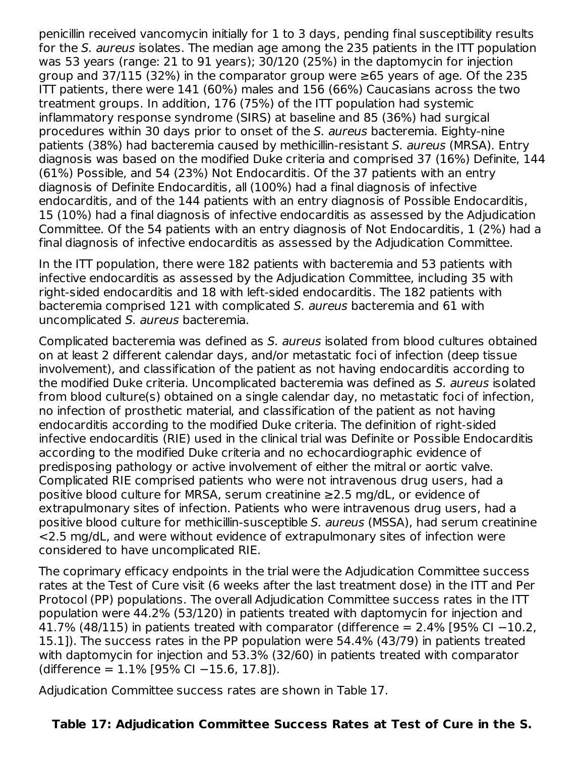penicillin received vancomycin initially for 1 to 3 days, pending final susceptibility results for the S. aureus isolates. The median age among the 235 patients in the ITT population was 53 years (range: 21 to 91 years); 30/120 (25%) in the daptomycin for injection group and 37/115 (32%) in the comparator group were  $\geq 65$  years of age. Of the 235 ITT patients, there were 141 (60%) males and 156 (66%) Caucasians across the two treatment groups. In addition, 176 (75%) of the ITT population had systemic inflammatory response syndrome (SIRS) at baseline and 85 (36%) had surgical procedures within 30 days prior to onset of the S. aureus bacteremia. Eighty-nine patients (38%) had bacteremia caused by methicillin-resistant S. aureus (MRSA). Entry diagnosis was based on the modified Duke criteria and comprised 37 (16%) Definite, 144 (61%) Possible, and 54 (23%) Not Endocarditis. Of the 37 patients with an entry diagnosis of Definite Endocarditis, all (100%) had a final diagnosis of infective endocarditis, and of the 144 patients with an entry diagnosis of Possible Endocarditis, 15 (10%) had a final diagnosis of infective endocarditis as assessed by the Adjudication Committee. Of the 54 patients with an entry diagnosis of Not Endocarditis, 1 (2%) had a final diagnosis of infective endocarditis as assessed by the Adjudication Committee.

In the ITT population, there were 182 patients with bacteremia and 53 patients with infective endocarditis as assessed by the Adjudication Committee, including 35 with right-sided endocarditis and 18 with left-sided endocarditis. The 182 patients with bacteremia comprised 121 with complicated S. aureus bacteremia and 61 with uncomplicated S. aureus bacteremia.

Complicated bacteremia was defined as S. aureus isolated from blood cultures obtained on at least 2 different calendar days, and/or metastatic foci of infection (deep tissue involvement), and classification of the patient as not having endocarditis according to the modified Duke criteria. Uncomplicated bacteremia was defined as S. aureus isolated from blood culture(s) obtained on a single calendar day, no metastatic foci of infection, no infection of prosthetic material, and classification of the patient as not having endocarditis according to the modified Duke criteria. The definition of right-sided infective endocarditis (RIE) used in the clinical trial was Definite or Possible Endocarditis according to the modified Duke criteria and no echocardiographic evidence of predisposing pathology or active involvement of either the mitral or aortic valve. Complicated RIE comprised patients who were not intravenous drug users, had a positive blood culture for MRSA, serum creatinine ≥2.5 mg/dL, or evidence of extrapulmonary sites of infection. Patients who were intravenous drug users, had a positive blood culture for methicillin-susceptible S. aureus (MSSA), had serum creatinine <2.5 mg/dL, and were without evidence of extrapulmonary sites of infection were considered to have uncomplicated RIE.

The coprimary efficacy endpoints in the trial were the Adjudication Committee success rates at the Test of Cure visit (6 weeks after the last treatment dose) in the ITT and Per Protocol (PP) populations. The overall Adjudication Committee success rates in the ITT population were 44.2% (53/120) in patients treated with daptomycin for injection and 41.7% (48/115) in patients treated with comparator (difference =  $2.4\%$  [95% CI -10.2, 15.1]). The success rates in the PP population were 54.4% (43/79) in patients treated with daptomycin for injection and 53.3% (32/60) in patients treated with comparator (difference = 1.1% [95% CI −15.6, 17.8]).

Adjudication Committee success rates are shown in Table 17.

### **Table 17: Adjudication Committee Success Rates at Test of Cure in the S.**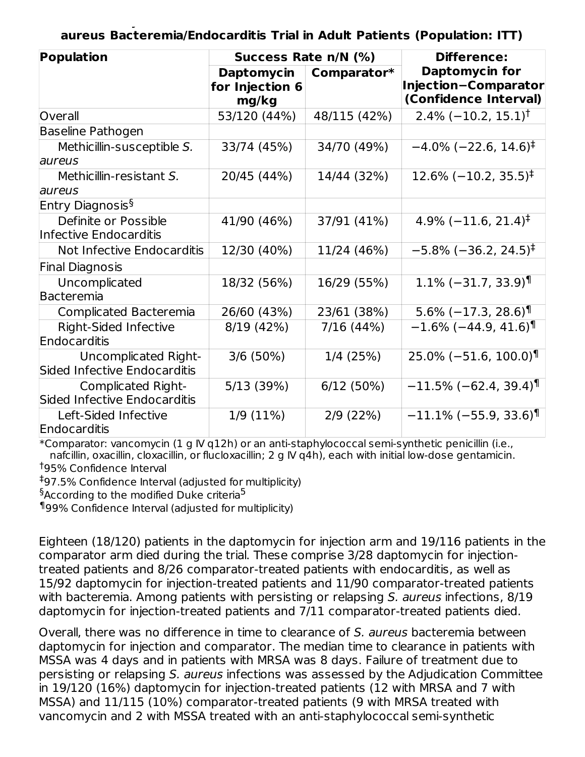**Table 17: Adjudication Committee Success Rates at Test of Cure in the S. aureus Bacteremia/Endocarditis Trial in Adult Patients (Population: ITT)**

| Population                                           | Success Rate n/N (%)                          |              | <b>Difference:</b><br><b>Daptomycin for</b><br>Injection-Comparator<br>(Confidence Interval) |  |  |
|------------------------------------------------------|-----------------------------------------------|--------------|----------------------------------------------------------------------------------------------|--|--|
|                                                      | <b>Daptomycin</b><br>for Injection 6<br>mg/kg | Comparator*  |                                                                                              |  |  |
| Overall                                              | 53/120 (44%)                                  | 48/115 (42%) | $2.4\%$ (-10.2, 15.1) <sup>†</sup>                                                           |  |  |
| <b>Baseline Pathogen</b>                             |                                               |              |                                                                                              |  |  |
| Methicillin-susceptible S.                           | 33/74 (45%)                                   | 34/70 (49%)  | $-4.0\%$ (-22.6, 14.6) <sup>‡</sup>                                                          |  |  |
| aureus                                               |                                               |              |                                                                                              |  |  |
| Methicillin-resistant S.                             | 20/45 (44%)                                   | 14/44 (32%)  | $12.6\%$ (-10.2, 35.5) <sup>‡</sup>                                                          |  |  |
| aureus                                               |                                               |              |                                                                                              |  |  |
| Entry Diagnosis <sup>§</sup>                         |                                               |              |                                                                                              |  |  |
| Definite or Possible                                 | 41/90 (46%)                                   | 37/91 (41%)  | $4.9\%$ (-11.6, 21.4) <sup>‡</sup>                                                           |  |  |
| Infective Endocarditis                               |                                               |              |                                                                                              |  |  |
| Not Infective Endocarditis                           | 12/30 (40%)                                   | 11/24 (46%)  | $-5.8\%$ ( $-36.2$ , 24.5) <sup>‡</sup>                                                      |  |  |
| <b>Final Diagnosis</b>                               |                                               |              |                                                                                              |  |  |
| Uncomplicated                                        | 18/32 (56%)                                   | 16/29 (55%)  | $1.1\%$ (-31.7, 33.9)                                                                        |  |  |
| Bacteremia                                           |                                               |              |                                                                                              |  |  |
| Complicated Bacteremia                               | 26/60 (43%)                                   | 23/61 (38%)  | $5.6\%$ (-17.3, 28.6) <sup>1</sup>                                                           |  |  |
| <b>Right-Sided Infective</b><br>Endocarditis         | 8/19 (42%)                                    | 7/16 (44%)   | $-1.6\%$ ( $-44.9$ , $41.6$ )                                                                |  |  |
|                                                      |                                               |              |                                                                                              |  |  |
| Uncomplicated Right-<br>Sided Infective Endocarditis | 3/6(50%)                                      | 1/4(25%)     | $25.0\%$ (-51.6, 100.0) <sup>1</sup>                                                         |  |  |
| Complicated Right-                                   | 5/13 (39%)                                    | 6/12(50%)    | $-11.5\%$ (-62.4, 39.4) <sup>1</sup>                                                         |  |  |
| Sided Infective Endocarditis                         |                                               |              |                                                                                              |  |  |
| Left-Sided Infective                                 | 1/9(11%)                                      | 2/9(22%)     | $-11.1\%$ (-55.9, 33.6) <sup>¶</sup>                                                         |  |  |
| Endocarditis                                         |                                               |              |                                                                                              |  |  |

\*Comparator: vancomycin (1 g IV q12h) or an anti-staphylococcal semi-synthetic penicillin (i.e., nafcillin, oxacillin, cloxacillin, or flucloxacillin; 2 g IV q4h), each with initial low-dose gentamicin. 95% Confidence Interval †

97.5% Confidence Interval (adjusted for multiplicity) ‡

 $\mathrm{^6}$ According to the modified Duke criteria $^5$ 

99% Confidence Interval (adjusted for multiplicity) ¶

Eighteen (18/120) patients in the daptomycin for injection arm and 19/116 patients in the comparator arm died during the trial. These comprise 3/28 daptomycin for injectiontreated patients and 8/26 comparator-treated patients with endocarditis, as well as 15/92 daptomycin for injection-treated patients and 11/90 comparator-treated patients with bacteremia. Among patients with persisting or relapsing S. aureus infections, 8/19 daptomycin for injection-treated patients and 7/11 comparator-treated patients died.

Overall, there was no difference in time to clearance of S. aureus bacteremia between daptomycin for injection and comparator. The median time to clearance in patients with MSSA was 4 days and in patients with MRSA was 8 days. Failure of treatment due to persisting or relapsing S. aureus infections was assessed by the Adjudication Committee in 19/120 (16%) daptomycin for injection-treated patients (12 with MRSA and 7 with MSSA) and 11/115 (10%) comparator-treated patients (9 with MRSA treated with vancomycin and 2 with MSSA treated with an anti-staphylococcal semi-synthetic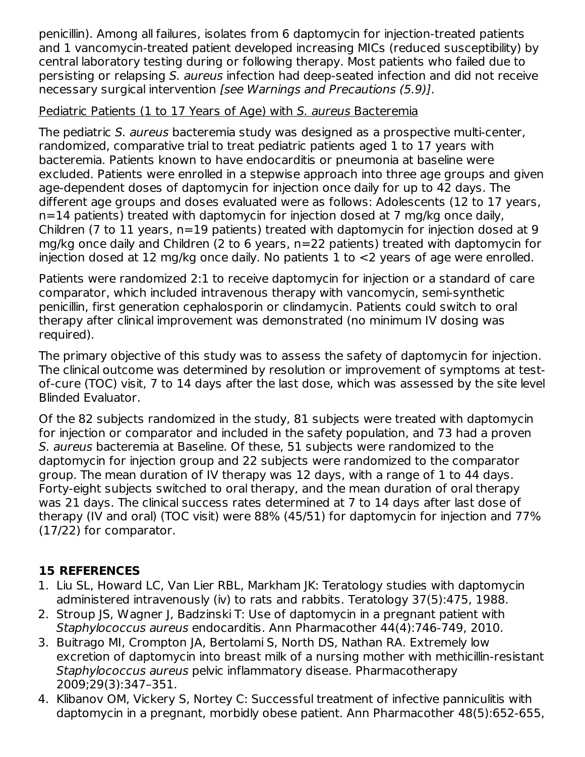penicillin). Among all failures, isolates from 6 daptomycin for injection-treated patients and 1 vancomycin-treated patient developed increasing MICs (reduced susceptibility) by central laboratory testing during or following therapy. Most patients who failed due to persisting or relapsing S. aureus infection had deep-seated infection and did not receive necessary surgical intervention [see Warnings and Precautions (5.9)].

#### Pediatric Patients (1 to 17 Years of Age) with S. aureus Bacteremia

The pediatric S. aureus bacteremia study was designed as a prospective multi-center, randomized, comparative trial to treat pediatric patients aged 1 to 17 years with bacteremia. Patients known to have endocarditis or pneumonia at baseline were excluded. Patients were enrolled in a stepwise approach into three age groups and given age-dependent doses of daptomycin for injection once daily for up to 42 days. The different age groups and doses evaluated were as follows: Adolescents (12 to 17 years, n=14 patients) treated with daptomycin for injection dosed at 7 mg/kg once daily, Children (7 to 11 years, n=19 patients) treated with daptomycin for injection dosed at 9 mg/kg once daily and Children (2 to 6 years, n=22 patients) treated with daptomycin for injection dosed at 12 mg/kg once daily. No patients 1 to <2 years of age were enrolled.

Patients were randomized 2:1 to receive daptomycin for injection or a standard of care comparator, which included intravenous therapy with vancomycin, semi-synthetic penicillin, first generation cephalosporin or clindamycin. Patients could switch to oral therapy after clinical improvement was demonstrated (no minimum IV dosing was required).

The primary objective of this study was to assess the safety of daptomycin for injection. The clinical outcome was determined by resolution or improvement of symptoms at testof-cure (TOC) visit, 7 to 14 days after the last dose, which was assessed by the site level Blinded Evaluator.

Of the 82 subjects randomized in the study, 81 subjects were treated with daptomycin for injection or comparator and included in the safety population, and 73 had a proven S. aureus bacteremia at Baseline. Of these, 51 subjects were randomized to the daptomycin for injection group and 22 subjects were randomized to the comparator group. The mean duration of IV therapy was 12 days, with a range of 1 to 44 days. Forty-eight subjects switched to oral therapy, and the mean duration of oral therapy was 21 days. The clinical success rates determined at 7 to 14 days after last dose of therapy (IV and oral) (TOC visit) were 88% (45/51) for daptomycin for injection and 77% (17/22) for comparator.

### **15 REFERENCES**

- 1. Liu SL, Howard LC, Van Lier RBL, Markham JK: Teratology studies with daptomycin administered intravenously (iv) to rats and rabbits. Teratology 37(5):475, 1988.
- 2. Stroup JS, Wagner J, Badzinski T: Use of daptomycin in a pregnant patient with Staphylococcus aureus endocarditis. Ann Pharmacother 44(4):746-749, 2010.
- 3. Buitrago MI, Crompton JA, Bertolami S, North DS, Nathan RA. Extremely low excretion of daptomycin into breast milk of a nursing mother with methicillin-resistant Staphylococcus aureus pelvic inflammatory disease. Pharmacotherapy 2009;29(3):347–351.
- 4. Klibanov OM, Vickery S, Nortey C: Successful treatment of infective panniculitis with daptomycin in a pregnant, morbidly obese patient. Ann Pharmacother 48(5):652-655,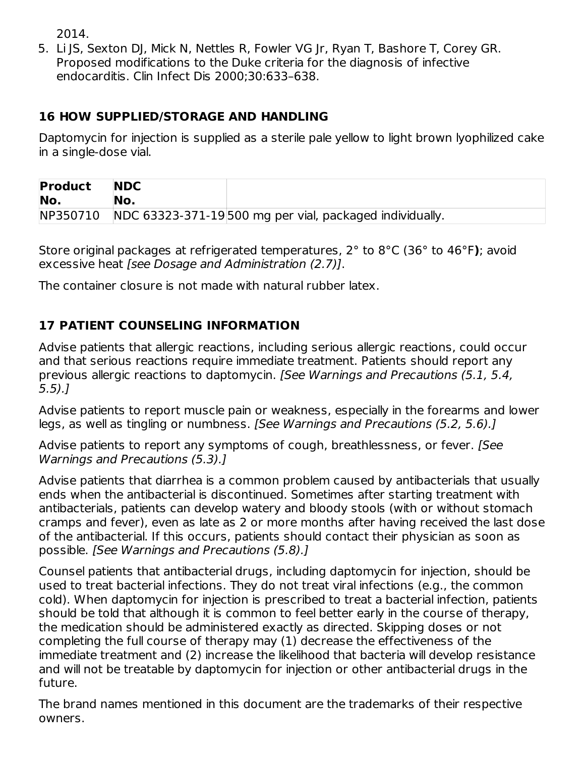2014.

5. Li JS, Sexton DJ, Mick N, Nettles R, Fowler VG Jr, Ryan T, Bashore T, Corey GR. Proposed modifications to the Duke criteria for the diagnosis of infective endocarditis. Clin Infect Dis 2000;30:633–638.

### **16 HOW SUPPLIED/STORAGE AND HANDLING**

Daptomycin for injection is supplied as a sterile pale yellow to light brown lyophilized cake in a single-dose vial.

| <b>Product</b> | <b>NDC</b> |                                                         |
|----------------|------------|---------------------------------------------------------|
| No.            | No.        |                                                         |
| NP350710       |            | NDC 63323-371-19500 mg per vial, packaged individually. |

Store original packages at refrigerated temperatures, 2° to 8°C (36° to 46°F**)**; avoid excessive heat [see Dosage and Administration (2.7)].

The container closure is not made with natural rubber latex.

### **17 PATIENT COUNSELING INFORMATION**

Advise patients that allergic reactions, including serious allergic reactions, could occur and that serious reactions require immediate treatment. Patients should report any previous allergic reactions to daptomycin. [See Warnings and Precautions (5.1, 5.4, 5.5).]

Advise patients to report muscle pain or weakness, especially in the forearms and lower legs, as well as tingling or numbness. [See Warnings and Precautions (5.2, 5.6).]

Advise patients to report any symptoms of cough, breathlessness, or fever. [See Warnings and Precautions (5.3).]

Advise patients that diarrhea is a common problem caused by antibacterials that usually ends when the antibacterial is discontinued. Sometimes after starting treatment with antibacterials, patients can develop watery and bloody stools (with or without stomach cramps and fever), even as late as 2 or more months after having received the last dose of the antibacterial. If this occurs, patients should contact their physician as soon as possible. [See Warnings and Precautions (5.8).]

Counsel patients that antibacterial drugs, including daptomycin for injection, should be used to treat bacterial infections. They do not treat viral infections (e.g., the common cold). When daptomycin for injection is prescribed to treat a bacterial infection, patients should be told that although it is common to feel better early in the course of therapy, the medication should be administered exactly as directed. Skipping doses or not completing the full course of therapy may (1) decrease the effectiveness of the immediate treatment and (2) increase the likelihood that bacteria will develop resistance and will not be treatable by daptomycin for injection or other antibacterial drugs in the future.

The brand names mentioned in this document are the trademarks of their respective owners.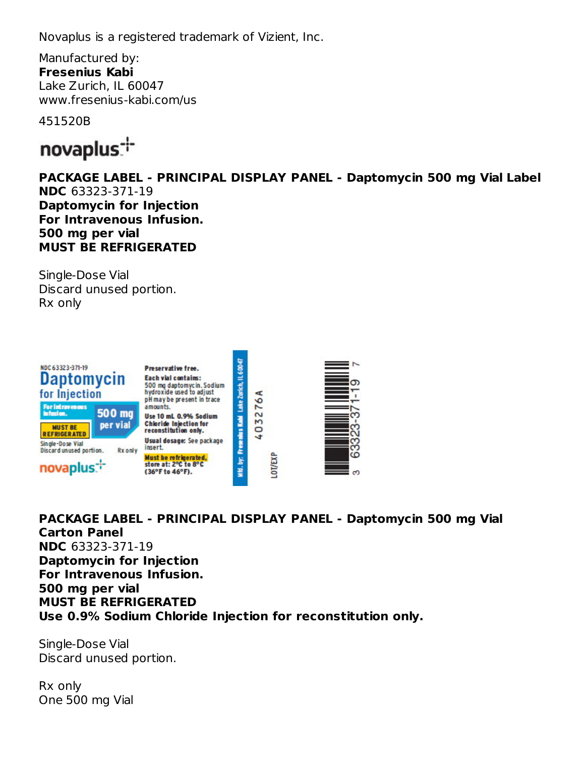Novaplus is a registered trademark of Vizient, Inc.

Manufactured by: **Fresenius Kabi** Lake Zurich, IL 60047 www.fresenius-kabi.com/us

451520B



**PACKAGE LABEL - PRINCIPAL DISPLAY PANEL - Daptomycin 500 mg Vial Label NDC** 63323-371-19 **Daptomycin for Injection For Intravenous Infusion. 500 mg per vial MUST BE REFRIGERATED**

Single-Dose Vial Discard unused portion. Rx only



**PACKAGE LABEL - PRINCIPAL DISPLAY PANEL - Daptomycin 500 mg Vial Carton Panel NDC** 63323-371-19 **Daptomycin for Injection For Intravenous Infusion. 500 mg per vial MUST BE REFRIGERATED Use 0.9% Sodium Chloride Injection for reconstitution only.**

Single-Dose Vial Discard unused portion.

Rx only One 500 mg Vial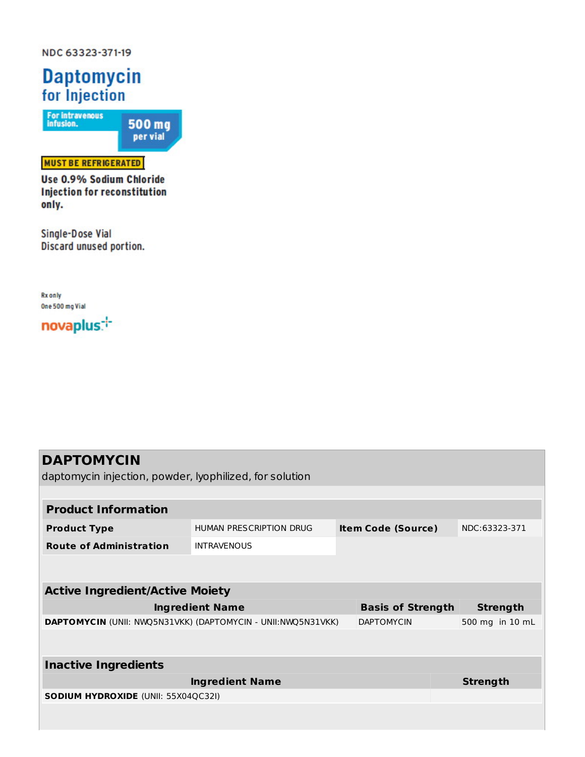NDC 63323-371-19

# **Daptomycin** for Injection

For intravenous<br>infusion. 500 mg<br>per vial

#### **MUST BE REFRIGERATED**

Use 0.9% Sodium Chloride **Injection for reconstitution** only.

Single-Dose Vial Discard unused portion.

**Rx** only One 500 mg Vial

novaplus:

| <b>DAPTOMYCIN</b>                                            |                         |                           |                   |                 |                 |  |
|--------------------------------------------------------------|-------------------------|---------------------------|-------------------|-----------------|-----------------|--|
| daptomycin injection, powder, lyophilized, for solution      |                         |                           |                   |                 |                 |  |
|                                                              |                         |                           |                   |                 |                 |  |
| <b>Product Information</b>                                   |                         |                           |                   |                 |                 |  |
| <b>Product Type</b>                                          | HUMAN PRESCRIPTION DRUG | <b>Item Code (Source)</b> |                   | NDC:63323-371   |                 |  |
| <b>Route of Administration</b>                               | <b>INTRAVENOUS</b>      |                           |                   |                 |                 |  |
|                                                              |                         |                           |                   |                 |                 |  |
|                                                              |                         |                           |                   |                 |                 |  |
| <b>Active Ingredient/Active Moiety</b>                       |                         |                           |                   |                 |                 |  |
| <b>Ingredient Name</b>                                       |                         | <b>Basis of Strength</b>  |                   | <b>Strength</b> |                 |  |
| DAPTOMYCIN (UNII: NWQ5N31VKK) (DAPTOMYCIN - UNII:NWQ5N31VKK) |                         |                           | <b>DAPTOMYCIN</b> |                 | 500 mg in 10 mL |  |
|                                                              |                         |                           |                   |                 |                 |  |
| <b>Inactive Ingredients</b>                                  |                         |                           |                   |                 |                 |  |
|                                                              |                         |                           |                   |                 |                 |  |
| <b>Ingredient Name</b>                                       |                         |                           |                   |                 | <b>Strength</b> |  |
| <b>SODIUM HYDROXIDE (UNII: 55X04QC32I)</b>                   |                         |                           |                   |                 |                 |  |
|                                                              |                         |                           |                   |                 |                 |  |
|                                                              |                         |                           |                   |                 |                 |  |